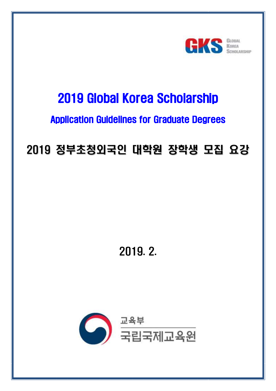

# 2019 Global Korea Scholarship

## Application Guidelines for Graduate Degrees

# 2019 정부초청외국인 대학원 장학생 모집 요강

2019. 2.

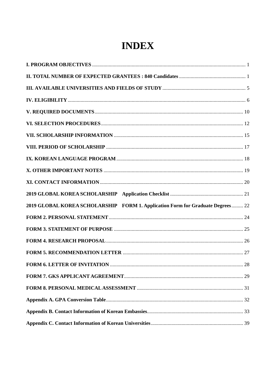## **INDEX**

| 2019 GLOBAL KOREA SCHOLARSHIP FORM 1. Application Form for Graduate Degrees 22 |  |
|--------------------------------------------------------------------------------|--|
|                                                                                |  |
|                                                                                |  |
|                                                                                |  |
|                                                                                |  |
|                                                                                |  |
|                                                                                |  |
|                                                                                |  |
|                                                                                |  |
|                                                                                |  |
|                                                                                |  |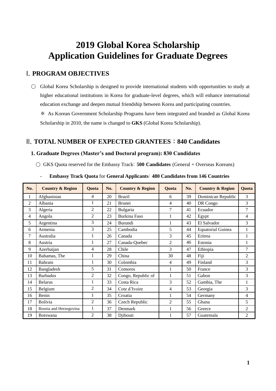## **2019 Global Korea Scholarship Application Guidelines for Graduate Degrees**

## <span id="page-2-0"></span>I. **PROGRAM OBJECTIVES**

○ Global Korea Scholarship is designed to provide international students with opportunities to study at higher educational institutions in Korea for graduate-level degrees, which will enhance international education exchange and deepen mutual friendship between Korea and participating countries. ※ As Korean Government Scholarship Programs have been integrated and branded as Global Korea Scholarship in 2010, the name is changed to **GKS** (Global Korea Scholarship).

## <span id="page-2-1"></span>II. **TOTAL NUMBER OF EXPECTED GRANTEES** : **840 Candidates**

## **1. Graduate Degrees (Master's and Doctoral program): 830 Candidates**

○ GKS Quota reserved for the Embassy Track: **500 Candidates** (General + Overseas Koreans)

| No.            | <b>Country &amp; Region</b> | Quota          | No. | <b>Country &amp; Region</b> | <b>Ouota</b>   | No. | <b>Country &amp; Region</b> | <b>Ouota</b>   |
|----------------|-----------------------------|----------------|-----|-----------------------------|----------------|-----|-----------------------------|----------------|
| 1              | Afghanistan                 | 4              | 20  | <b>Brazil</b>               | 6              | 39  | Dominican Republic          | 3              |
| $\overline{2}$ | Albania                     | 1              | 21  | <b>Brunei</b>               | $\overline{4}$ | 40  | DR Congo                    | 3              |
| 3              | Algeria                     | 2              | 22  | Bulgaria                    | 7              | 41  | Ecuador                     | 7              |
| 4              | Angola                      | $\overline{2}$ | 23  | Burkina Faso                | $\mathbf{1}$   | 42  | Egypt                       | 4              |
| 5              | Argentina                   | 3              | 24  | Burundi                     | 1              | 43  | El Salvador                 | 3              |
| 6              | Armenia                     | 3              | 25  | Cambodia                    | 5              | 44  | <b>Equatorial Guinea</b>    | 1              |
| 7              | Australia                   | 1              | 26  | Canada                      | 3              | 45  | Eritrea                     | 1              |
| 8              | Austria                     | 1              | 27  | Canada-Quebec               | $\overline{2}$ | 46  | Estonia                     | 1              |
| 9              | Azerbaijan                  | 4              | 28  | Chile                       | 3              | 47  | Ethiopia                    | $\overline{7}$ |
| 10             | Bahamas, The                | 1              | 29  | China                       | 30             | 48  | Fiji                        | $\overline{2}$ |
| 11             | <b>Bahrain</b>              | 1              | 30  | Colombia                    | 4              | 49  | Finland                     | 3              |
| 12             | Bangladesh                  | 5              | 31  | Comoros                     |                | 50  | France                      | 3              |
| 13             | <b>Barbados</b>             | $\overline{2}$ | 32  | Congo, Republic of          | $\mathbf{1}$   | 51  | Gabon                       | 3              |
| 14             | <b>Belarus</b>              |                | 33  | Costa Rica                  | 3              | 52  | Gambia, The                 | 1              |
| 15             | Belgium                     | $\overline{c}$ | 34  | Cote d'Ivoire               | 4              | 53  | Georgia                     | 3              |
| 16             | Benin                       | 1              | 35  | Croatia                     | 1              | 54  | Germany                     | $\overline{4}$ |
| 17             | <b>Bolivia</b>              | $\overline{2}$ | 36  | Czech Republic              | $\overline{2}$ | 55  | Ghana                       | 5              |
| 18             | Bosnia and Herzegovina      | $\mathbf{1}$   | 37  | Denmark                     |                | 56  | Greece                      | $\overline{2}$ |
| 19             | Botswana                    | $\overline{2}$ | 38  | Djibouti                    |                | 57  | Guatemala                   | 2              |

- **Embassy Track Quota** for **General Applicants**: **480 Candidates from 146 Countries**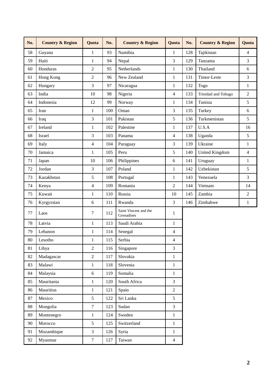| No. | <b>Country &amp; Region</b> | Quota                   | No. | <b>Country &amp; Region</b>         | Quota          | No. | <b>Country &amp; Region</b> | <b>Quota</b>   |
|-----|-----------------------------|-------------------------|-----|-------------------------------------|----------------|-----|-----------------------------|----------------|
| 58  | Guyana                      | $\mathbf{1}$            | 93  | Namibia                             | $\mathbf{1}$   | 128 | Tajikistan                  | $\overline{4}$ |
| 59  | Haiti                       | $\mathbf{1}$            | 94  | Nepal                               | 3              | 129 | Tanzania                    | 3              |
| 60  | Honduras                    | $\overline{2}$          | 95  | Netherlands                         | $\mathbf{1}$   | 130 | Thailand                    | 6              |
| 61  | Hong Kong                   | $\overline{2}$          | 96  | New Zealand                         | $\mathbf{1}$   | 131 | Timor-Leste                 | 3              |
| 62  | Hungary                     | 3                       | 97  | Nicaragua                           | $\mathbf{1}$   | 132 | Togo                        | $\mathbf{1}$   |
| 63  | India                       | 10                      | 98  | Nigeria                             | 4              | 133 | Trinidad and Tobago         | $\overline{2}$ |
| 64  | Indonesia                   | 12                      | 99  | Norway                              | $\mathbf{1}$   | 134 | Tunisia                     | 5              |
| 65  | Iran                        | $\mathbf{1}$            | 100 | Oman                                | 3              | 135 | Turkey                      | 6              |
| 66  | Iraq                        | 3                       | 101 | Pakistan                            | 5              | 136 | Turkmenistan                | 5              |
| 67  | Ireland                     | $\mathbf{1}$            | 102 | Palestine                           | $\mathbf{1}$   | 137 | U.S.A                       | 16             |
| 68  | Israel                      | 3                       | 103 | Panama                              | $\overline{4}$ | 138 | Uganda                      | 5              |
| 69  | Italy                       | 4                       | 104 | Paraguay                            | 3              | 139 | Ukraine                     | $\mathbf{1}$   |
| 70  | Jamaica                     | $\mathbf{1}$            | 105 | Peru                                | 5              | 140 | <b>United Kingdom</b>       | $\overline{4}$ |
| 71  | Japan                       | 10                      | 106 | Philippines                         | 6              | 141 | Uruguay                     | $\mathbf{1}$   |
| 72  | Jordan                      | 3                       | 107 | Poland                              | $\mathbf{1}$   | 142 | Uzbekistan                  | 5              |
| 73  | Kazakhstan                  | 5                       | 108 | Portugal                            | 1              | 143 | Venezuela                   | 3              |
| 74  | Kenya                       | $\overline{\mathbf{4}}$ | 109 | Romania                             | $\overline{c}$ | 144 | Vietnam                     | 14             |
| 75  | Kuwait                      | $\mathbf{1}$            | 110 | Russia                              | 10             | 145 | Zambia                      | $\overline{2}$ |
| 76  | Kyrgyzstan                  | 6                       | 111 | Rwanda                              | 3              | 146 | Zimbabwe                    | $1\,$          |
| 77  | Laos                        | 7                       | 112 | Saint Vincent and the<br>Grenadines | $\mathbf{1}$   |     |                             |                |
| 78  | Latvia                      | $\mathbf{1}$            | 113 | Saudi Arabia                        | $\mathbf{1}$   |     |                             |                |
| 79  | Lebanon                     | $\,1$                   | 114 | Senegal                             | 4              |     |                             |                |
| 80  | Lesotho                     | $\,1$                   | 115 | Serbia                              | 4              |     |                             |                |
| 81  | Libya                       | $\overline{2}$          | 116 | Singapore                           | 3              |     |                             |                |
| 82  | Madagascar                  | $\overline{2}$          | 117 | Slovakia                            | $\mathbf{1}$   |     |                             |                |
| 83  | Malawi                      | $\mathbf{1}$            | 118 | Slovenia                            | $\mathbf{1}$   |     |                             |                |
| 84  | Malaysia                    | 6                       | 119 | Somalia                             | $\mathbf{1}$   |     |                             |                |
| 85  | Mauritania                  | $\mathbf{1}$            | 120 | South Africa                        | 3              |     |                             |                |
| 86  | Mauritius                   | $\mathbf{1}$            | 121 | Spain                               | $\overline{2}$ |     |                             |                |
| 87  | Mexico                      | 5                       | 122 | Sri Lanka                           | 5              |     |                             |                |
| 88  | Mongolia                    | $\tau$                  | 123 | Sudan                               | $\mathfrak{Z}$ |     |                             |                |
| 89  | Montenegro                  | $\mathbf{1}$            | 124 | Sweden                              | $\mathbf{1}$   |     |                             |                |
| 90  | Morocco                     | 5                       | 125 | Switzerland                         | $\mathbf{1}$   |     |                             |                |
| 91  | Mozambique                  | $\overline{3}$          | 126 | Syria                               | $\mathbf{1}$   |     |                             |                |
| 92  | Myanmar                     | $\tau$                  | 127 | Taiwan                              | $\overline{4}$ |     |                             |                |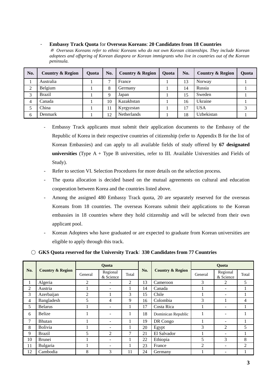#### - **Embassy Track Quota** for **Overseas Koreans**: **20 Candidates from 18 Countries**

※ *Overseas Koreans refer to ethnic Koreans who do not own Korean citizenships. They include Korean adoptees and offspring of Korean diaspora or Korean immigrants who live in countries out of the Korean peninsula.*

| No. | <b>Country &amp; Region</b> | <b>Ouota</b> | No. | <b>Country &amp; Region</b> | <b>Ouota</b> | No. | <b>Country &amp; Region</b> | <b>Ouota</b> |
|-----|-----------------------------|--------------|-----|-----------------------------|--------------|-----|-----------------------------|--------------|
|     | Australia                   |              | ⇁   | France                      |              | 13  | Norway                      |              |
| 2   | Belgium                     |              | 8   | Germany                     |              | 14  | Russia                      |              |
| 3   | <b>Brazil</b>               |              | Q   | Japan                       |              | 15  | Sweden                      |              |
| 4   | Canada                      |              | 10  | Kazakhstan                  |              | 16  | Ukraine                     |              |
|     | China                       |              | 11  | Kyrgyzstan                  |              | 17  | <b>USA</b>                  |              |
| 6   | Denmark                     |              | 12  | <b>Netherlands</b>          |              | 18  | Uzbekistan                  |              |

- Embassy Track applicants must submit their application documents to the Embassy of the Republic of Korea in their respective countries of citizenship (refer to Appendix B for the list of Korean Embassies) and can apply to all available fields of study offered by **67 designated universities** (Type A + Type B universities, refer to III. Available Universities and Fields of Study).
- Refer to section VI. Selection Procedures for more details on the selection process.
- The quota allocation is decided based on the mutual agreements on cultural and education cooperation between Korea and the countries listed above.
- Among the assigned 480 Embassy Track quota, 20 are separately reserved for the overseas Koreans from 18 countries. The overseas Koreans submit their applications to the Korean embassies in 18 countries where they hold citizenship and will be selected from their own applicant pool.
- Korean Adoptees who have graduated or are expected to graduate from Korean universities are eligible to apply through this track.

### ○ **GKS Quota reserved for the University Track**: **330 Candidates from 77 Countries**

|                |                             |                | <b>Ouota</b>          |       |     |                             | <b>Ouota</b>   |                          |                |  |
|----------------|-----------------------------|----------------|-----------------------|-------|-----|-----------------------------|----------------|--------------------------|----------------|--|
| No.            | <b>Country &amp; Region</b> | General        | Regional<br>& Science | Total | No. | <b>Country &amp; Region</b> | General        | Regional<br>& Science    | Total          |  |
| $\perp$        | Algeria                     | $\overline{2}$ | ۰                     | 2     | 13  | Cameroon                    | 3              | 2                        | 5              |  |
| $\overline{2}$ | Austria                     |                | ۰                     |       | 14  | Canada                      |                | ۰                        |                |  |
| 3              | Azerbaijan                  | 2              | 1                     | 3     | 15  | Chile                       |                | -                        |                |  |
| 4              | Bangladesh                  | 5              | 4                     | 9     | 16  | Colombia                    | 3              |                          | $\overline{4}$ |  |
| 5              | <b>Belarus</b>              |                | -                     |       | 17  | Costa Rica                  |                |                          |                |  |
| 6              | Belize                      |                |                       |       | 18  | Dominican Republic          |                | ۰                        |                |  |
| 7              | <b>Bhutan</b>               |                | -                     |       | 19  | DR Congo                    |                | $\overline{\phantom{a}}$ |                |  |
| 8              | <b>Bolivia</b>              |                | ۰                     |       | 20  | Egypt                       | 3              | 2                        | 5              |  |
| 9              | <b>Brazil</b>               | 5              | 2                     | 7     | 21  | El Salvador                 |                |                          |                |  |
| 10             | <b>Brunei</b>               |                | ۰                     |       | 22  | Ethiopia                    | 5              | 3                        | 8              |  |
| 11             | Bulgaria                    |                | ۰                     |       | 23  | France                      | $\overline{2}$ | $\overline{\phantom{a}}$ | 2              |  |
| 12             | Cambodia                    | 8              | 3                     | 11    | 24  | Germany                     |                | $\overline{\phantom{a}}$ |                |  |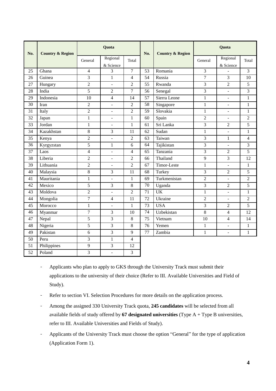| No.             | <b>Country &amp; Region</b> |                | Quota                    |                          | No.             | <b>Country &amp; Region</b> | <b>Quota</b>   |                          |                |
|-----------------|-----------------------------|----------------|--------------------------|--------------------------|-----------------|-----------------------------|----------------|--------------------------|----------------|
|                 |                             | General        | Regional<br>& Science    | Total                    |                 |                             | General        | Regional<br>& Science    | Total          |
| 25              | Ghana                       | $\overline{4}$ | 3                        | $\overline{7}$           | 53              | Romania                     | 3              |                          | 3              |
| 26              | Guinea                      | 3              | $\mathbf{1}$             | $\overline{4}$           | $\overline{54}$ | Russia                      | $\overline{7}$ | 3                        | 10             |
| 27              | Hungary                     | $\overline{2}$ | $\Box$                   | $\overline{2}$           | 55              | Rwanda                      | 3              | $\overline{2}$           | 5              |
| 28              | India                       | $\overline{5}$ | $\overline{2}$           | $\overline{7}$           | 56              | Senegal                     | $\overline{3}$ | $\overline{a}$           | 3              |
| 29              | Indonesia                   | 10             | $\overline{4}$           | 14                       | 57              | Sierra Leone                | $\mathbf{1}$   | $\overline{a}$           | $\mathbf{1}$   |
| 30              | Iran                        | $\overline{c}$ | $\overline{\phantom{a}}$ | $\overline{c}$           | 58              | Singapore                   | $\mathbf{1}$   | ÷,                       | $\mathbf{1}$   |
| $\overline{31}$ | Italy                       | $\overline{2}$ | $\overline{\phantom{a}}$ | $\overline{2}$           | $\overline{59}$ | Slovakia                    | $\mathbf{1}$   | $\overline{a}$           | $\mathbf{1}$   |
| $\overline{32}$ | Japan                       | $\mathbf{1}$   | $\overline{\phantom{a}}$ | $\mathbf{1}$             | 60              | Spain                       | $\overline{c}$ | $\blacksquare$           | $\overline{2}$ |
| 33              | Jordan                      | $\mathbf{1}$   | $\overline{a}$           | $\mathbf{1}$             | 61              | Sri Lanka                   | 3              | $\overline{c}$           | 5              |
| 34              | Kazakhstan                  | 8              | 3                        | 11                       | 62              | Sudan                       | $\mathbf{1}$   | $\overline{a}$           | 1              |
| 35              | Kenya                       | $\overline{c}$ | $\overline{\phantom{a}}$ | $\overline{c}$           | 63              | Taiwan                      | 3              | $\mathbf{1}$             | 4              |
| 36              | Kyrgyzstan                  | 5              | 1                        | 6                        | 64              | Tajikistan                  | 3              | $\mathbb{L}$             | 3              |
| 37              | Laos                        | $\overline{4}$ | $\overline{a}$           | $\overline{\mathcal{L}}$ | 65              | Tanzania                    | 3              | $\overline{2}$           | 5              |
| 38              | Liberia                     | $\overline{2}$ | $\overline{\phantom{a}}$ | $\overline{2}$           | 66              | Thailand                    | 9              | 3                        | 12             |
| 39              | Lithuania                   | $\overline{c}$ | $\overline{a}$           | $\overline{c}$           | 67              | Timor-Leste                 | $\mathbf{1}$   | $\overline{a}$           | $\mathbf{1}$   |
| 40              | Malaysia                    | 8              | 3                        | 11                       | 68              | Turkey                      | 3              | $\overline{c}$           | 5              |
| 41              | Mauritania                  | $\mathbf{1}$   | $\Box$                   | $\mathbf{1}$             | 69              | Turkmenistan                | $\overline{2}$ | $\overline{\phantom{a}}$ | $\overline{2}$ |
| 42              | Mexico                      | 5              | 3                        | $\,8\,$                  | 70              | Uganda                      | 3              | $\overline{c}$           | 5              |
| 43              | Moldova                     | $\overline{2}$ | $\overline{a}$           | $\overline{c}$           | 71              | $\overline{UK}$             | $\mathbf{1}$   | $\overline{a}$           | $\mathbf{1}$   |
| 44              | Mongolia                    | $\overline{7}$ | $\overline{\mathcal{L}}$ | 11                       | $\overline{72}$ | Ukraine                     | $\overline{2}$ | $\frac{1}{2}$            | $\overline{2}$ |
| 45              | Morocco                     | $\mathbf{1}$   | $\overline{a}$           | $\mathbf{1}$             | 73              | <b>USA</b>                  | 3              | $\overline{2}$           | 5              |
| 46              | Myanmar                     | $\overline{7}$ | 3                        | 10                       | $\overline{74}$ | Uzbekistan                  | 8              | $\overline{4}$           | 12             |
| 47              | Nepal                       | 5              | 3                        | $\,8\,$                  | 75              | Vietnam                     | 10             | $\overline{4}$           | 14             |
| 48              | Nigeria                     | $\overline{5}$ | $\overline{3}$           | 8                        | $\overline{76}$ | Yemen                       | $\mathbf{1}$   | $\overline{a}$           | $\mathbf{1}$   |
| 49              | Pakistan                    | 6              | 3                        | 9                        | 77              | Zambia                      | $\mathbf{1}$   | $\overline{a}$           | $\mathbf{1}$   |
| 50              | Peru                        | 3              | $\mathbf{1}$             | 4                        |                 |                             |                |                          |                |
| 51              | Philippines                 | 9              | 3                        | 12                       |                 |                             |                |                          |                |
| 52              | Poland                      | 3              | L.                       | 3                        |                 |                             |                |                          |                |

- Applicants who plan to apply to GKS through the University Track must submit their applications to the university of their choice (Refer to III. Available Universities and Field of Study).
- Refer to section VI. Selection Procedures for more details on the application process.
- Among the assigned 330 University Track quota, **245 candidates** will be selected from all available fields of study offered by **67 designated universities** (Type A + Type B universities, refer to III. Available Universities and Fields of Study).
- Applicants of the University Track must choose the option "General" for the type of application (Application Form 1).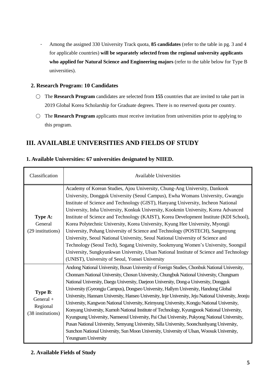- Among the assigned 330 University Track quota, **85 candidates** (refer to the table in pg. 3 and 4 for applicable countries) **will be separately selected from the regional university applicants who applied for Natural Science and Engineering majors** (refer to the table below for Type B universities).

## **2. Research Program: 10 Candidates**

- The **Research Program** candidates are selected from **155** countries that are invited to take part in 2019 Global Korea Scholarship for Graduate degrees. There is no reserved quota per country.
- The **Research Program** applicants must receive invitation from universities prior to applying to this program.

## <span id="page-6-0"></span>**III. AVAILABLE UNIVERSITIES AND FIELDS OF STUDY**

| 1. Available Universities: 67 universities designated by NIIED. |  |  |  |
|-----------------------------------------------------------------|--|--|--|
|                                                                 |  |  |  |

| Classification                                        | <b>Available Universities</b>                                                                                                                                                                                                                                                                                                                                                                                                                                                                                                                                                                                                                                                                                                                                                                                                                                                                                                                                                                      |
|-------------------------------------------------------|----------------------------------------------------------------------------------------------------------------------------------------------------------------------------------------------------------------------------------------------------------------------------------------------------------------------------------------------------------------------------------------------------------------------------------------------------------------------------------------------------------------------------------------------------------------------------------------------------------------------------------------------------------------------------------------------------------------------------------------------------------------------------------------------------------------------------------------------------------------------------------------------------------------------------------------------------------------------------------------------------|
| Type A:<br>General<br>(29 institutions)               | Academy of Korean Studies, Ajou University, Chung-Ang University, Dankook<br>University, Dongguk University (Seoul Campus), Ewha Womans University, Gwangju<br>Institute of Science and Technology (GIST), Hanyang University, Incheon National<br>University, Inha University, Konkuk University, Kookmin University, Korea Advanced<br>Institute of Science and Technology (KAIST), Korea Development Institute (KDI School),<br>Korea Polytechnic University, Korea University, Kyung Hee University, Myongji<br>University, Pohang University of Science and Technology (POSTECH), Sangmyung<br>University, Seoul National University, Seoul National University of Science and<br>Technology (Seoul Tech), Sogang University, Sookmyung Women's University, Soongsil<br>University, Sungkyunkwan University, Ulsan National Institute of Science and Technology<br>(UNIST), University of Seoul, Yonsei University                                                                            |
| Type B:<br>General +<br>Regional<br>(38 institutions) | Andong National University, Busan University of Foreign Studies, Chonbuk National University,<br>Chonnam National University, Chosun University, Chungbuk National University, Chungnam<br>National University, Daegu University, Daejeon University, Dong-a University, Dongguk<br>University (Gyeongju Campus), Dongseo University, Hallym University, Handong Global<br>University, Hannam University, Hanseo University, Inje University, Jeju National University, Jeonju<br>University, Kangwon National University, Keimyung University, Kongju National University,<br>Konyang University, Kumoh National Institute of Technology, Kyungpook National University,<br>Kyungsung University, Namseoul University, Pai Chai University, Pukyong National University,<br>Pusan National University, Semyung University, Silla University, Soonchunhyang University,<br>Sunchon National University, Sun Moon University, University of Ulsan, Woosuk University,<br><b>Yeungnam University</b> |

## **2. Available Fields of Study**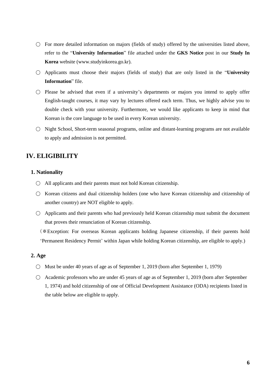- $\bigcirc$  For more detailed information on majors (fields of study) offered by the universities listed above, refer to the "**University Information**" file attached under the **GKS Notice** post in our **Study In Korea** website (www.studyinkorea.go.kr).
- Applicants must choose their majors (fields of study) that are only listed in the "**University Information**" file.
- $\bigcirc$  Please be advised that even if a university's departments or majors you intend to apply offer English-taught courses, it may vary by lectures offered each term. Thus, we highly advise you to double check with your university. Furthermore, we would like applicants to keep in mind that Korean is the core language to be used in every Korean university.
- Night School, Short-term seasonal programs, online and distant-learning programs are not available to apply and admission is not permitted.

## <span id="page-7-0"></span>**IV. ELIGIBILITY**

#### **1. Nationality**

- $\bigcirc$  All applicants and their parents must not hold Korean citizenship.
- Korean citizens and dual citizenship holders (one who have Korean citizenship and citizenship of another country) are NOT eligible to apply.
- $\bigcirc$  Applicants and their parents who had previously held Korean citizenship must submit the document that proves their renunciation of Korean citizenship.

(※Exception: For overseas Korean applicants holding Japanese citizenship, if their parents hold 'Permanent Residency Permit' within Japan while holding Korean citizenship, are eligible to apply.)

#### **2. Age**

- Must be under 40 years of age as of September 1, 2019 (born after September 1, 1979)
- $\bigcirc$  Academic professors who are under 45 years of age as of September 1, 2019 (born after September 1, 1974) and hold citizenship of one of Official Development Assistance (ODA) recipients listed in the table below are eligible to apply.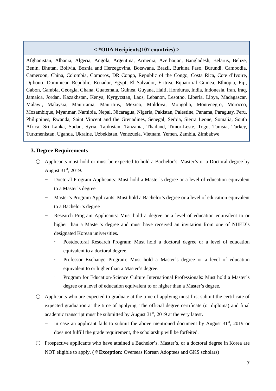#### **< \*ODA Recipients(107 countries) >**

Afghanistan, Albania, Algeria, Angola, Argentina, Armenia, Azerbaijan, Bangladesh, Belarus, Belize, Benin, Bhutan, Bolivia, Bosnia and Herzegovina, Botswana, Brazil, Burkina Faso, Burundi, Cambodia, Cameroon, China, Colombia, Comoros, DR Congo, Republic of the Congo, Costa Rica, Cote d'Ivoire, Djibouti, Dominican Republic, Ecuador, Egypt, El Salvador, Eritrea, Equatorial Guinea, Ethiopia, Fiji, Gabon, Gambia, Georgia, Ghana, Guatemala, Guinea, Guyana, Haiti, Honduras, India, Indonesia, Iran, Iraq, Jamaica, Jordan, Kazakhstan, Kenya, Kyrgyzstan, Laos, Lebanon, Lesotho, Liberia, Libya, Madagascar, Malawi, Malaysia, Mauritania, Mauritius, Mexico, Moldova, Mongolia, Montenegro, Morocco, Mozambique, Myanmar, Namibia, Nepal, Nicaragua, Nigeria, Pakistan, Palestine, Panama, Paraguay, Peru, Philippines, Rwanda, Saint Vincent and the Grenadines, Senegal, Serbia, Sierra Leone, Somalia, South Africa, Sri Lanka, Sudan, Syria, Tajikistan, Tanzania, Thailand, Timor-Leste, Togo, Tunisia, Turkey, Turkmenistan, Uganda, Ukraine, Uzbekistan, Venezuela, Vietnam, Yemen, Zambia, Zimbabwe

#### **3. Degree Requirements**

- Applicants must hold or must be expected to hold a Bachelor's, Master's or a Doctoral degree by August  $31^{\text{st}}$ , 2019.
	- Doctoral Program Applicants: Must hold a Master's degree or a level of education equivalent to a Master's degree
	- Master's Program Applicants: Must hold a Bachelor's degree or a level of education equivalent to a Bachelor's degree
	- Research Program Applicants: Must hold a degree or a level of education equivalent to or higher than a Master's degree and must have received an invitation from one of NIIED's designated Korean universities.
		- Postdoctoral Research Program: Must hold a doctoral degree or a level of education equivalent to a doctoral degree.
		- Professor Exchange Program: Must hold a Master's degree or a level of education equivalent to or higher than a Master's degree.
		- Program for Education·Science·Culture·International Professionals: Must hold a Master's degree or a level of education equivalent to or higher than a Master's degree.
- Applicants who are expected to graduate at the time of applying must first submit the certificate of expected graduation at the time of applying. The official degree certificate (or diploma) and final academic transcript must be submitted by August  $31<sup>st</sup>$ , 2019 at the very latest.
	- In case an applicant fails to submit the above mentioned document by August  $31<sup>st</sup>$ , 2019 or does not fulfill the grade requirement, the scholarship will be forfeited.
- Prospective applicants who have attained a Bachelor's, Master's, or a doctoral degree in Korea are NOT eligible to apply. (※**Exception:** Overseas Korean Adoptees and GKS scholars)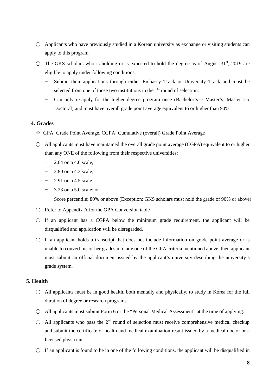- $\bigcirc$  Applicants who have previously studied in a Korean university as exchange or visiting students can apply to this program.
- $\circ$  The GKS scholars who is holding or is expected to hold the degree as of August 31<sup>st</sup>, 2019 are eligible to apply under following conditions:
	- Submit their applications through either Embassy Track or University Track and must be selected from one of those two institutions in the  $1<sup>st</sup>$  round of selection.
	- Can only re-apply for the higher degree program once (Bachelor's  $\rightarrow$  Master's, Master's  $\rightarrow$ Doctoral) and must have overall grade point average equivalent to or higher than 90%.

## **4. Grades**

- ※ GPA: Grade Point Average, CGPA: Cumulative (overall) Grade Point Average
- $\bigcirc$  All applicants must have maintained the overall grade point average (CGPA) equivalent to or higher than any ONE of the following from their respective universities:
	- 2.64 on a 4.0 scale;
	- 2.80 on a 4.3 scale;
	- 2.91 on a 4.5 scale;
	- 3.23 on a 5.0 scale; or
	- Score percentile: 80% or above (Exception: GKS scholars must hold the grade of 90% or above)
- $\bigcirc$  Refer to Appendix A for the GPA Conversion table
- $\circ$  If an applicant has a CGPA below the minimum grade requirement, the applicant will be disqualified and application will be disregarded.
- $\bigcirc$  If an applicant holds a transcript that does not include information on grade point average or is unable to convert his or her grades into any one of the GPA criteria mentioned above, then applicant must submit an official document issued by the applicant's university describing the university's grade system.

### **5. Health**

- $\bigcirc$  All applicants must be in good health, both mentally and physically, to study in Korea for the full duration of degree or research programs.
- All applicants must submit Form 6 or the "Personal Medical Assessment" at the time of applying.
- $\bigcirc$  All applicants who pass the  $2^{nd}$  round of selection must receive comprehensive medical checkup and submit the certificate of health and medical examination result issued by a medical doctor or a licensed physician.
- $\bigcirc$  If an applicant is found to be in one of the following conditions, the applicant will be disqualified in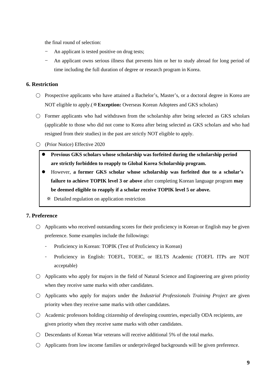the final round of selection:

- An applicant is tested positive on drug tests;
- An applicant owns serious illness that prevents him or her to study abroad for long period of time including the full duration of degree or research program in Korea.

### **6. Restriction**

- Prospective applicants who have attained a Bachelor's, Master's, or a doctoral degree in Korea are NOT eligible to apply.(※**Exception:** Overseas Korean Adoptees and GKS scholars)
- $\bigcirc$  Former applicants who had withdrawn from the scholarship after being selected as GKS scholars (applicable to those who did not come to Korea after being selected as GKS scholars and who had resigned from their studies) in the past are strictly NOT eligible to apply.
- (Prior Notice) Effective 2020
	- **Previous GKS scholars whose scholarship was forfeited during the scholarship period are strictly forbidden to reapply to Global Korea Scholarship program.**
	- However, **a former GKS scholar whose scholarship was forfeited due to a scholar's failure to achieve TOPIK level 3 or above** after completing Korean language program **may be deemed eligible to reapply if a scholar receive TOPIK level 5 or above.**
		- ※ Detailed regulation on application restriction

### **7. Preference**

- $\bigcirc$  Applicants who received outstanding scores for their proficiency in Korean or English may be given preference. Some examples include the followings:
	- Proficiency in Korean: TOPIK (Test of Proficiency in Korean)
	- Proficiency in English: TOEFL, TOEIC, or IELTS Academic (TOEFL ITPs are NOT acceptable)
- $\bigcirc$  Applicants who apply for majors in the field of Natural Science and Engineering are given priority when they receive same marks with other candidates.
- Applicants who apply for majors under the *Industrial Professionals Training Project* are given priority when they receive same marks with other candidates.
- Academic professors holding citizenship of developing countries, especially ODA recipients, are given priority when they receive same marks with other candidates.
- $\bigcirc$  Descendants of Korean War veterans will receive additional 5% of the total marks.
- $\bigcirc$  Applicants from low income families or underprivileged backgrounds will be given preference.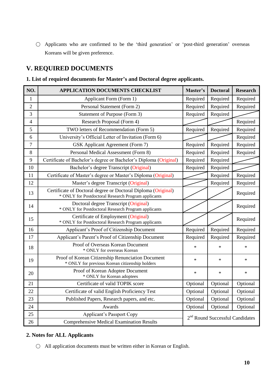○ Applicants who are confirmed to be the 'third generation' or 'post-third generation' overseas Koreans will be given preference.

## <span id="page-11-0"></span>**V. REQUIRED DOCUMENTS**

## **1. List of required documents for Master's and Doctoral degree applicants.**

| NO.              | APPLICATION DOCUMENTS CHECKLIST                                                                                      | Master's                                    | <b>Doctoral</b> | <b>Research</b> |
|------------------|----------------------------------------------------------------------------------------------------------------------|---------------------------------------------|-----------------|-----------------|
| $\mathbf{1}$     | Applicant Form (Form 1)                                                                                              | Required                                    | Required        | Required        |
| $\overline{2}$   | Personal Statement (Form 2)                                                                                          | Required                                    | Required        | Required        |
| 3                | Statement of Purpose (Form 3)                                                                                        | Required                                    | Required        |                 |
| $\overline{4}$   | Research Proposal (Form 4)                                                                                           |                                             |                 | Required        |
| 5                | TWO letters of Recommendation (Form 5)                                                                               | Required                                    | Required        | Required        |
| 6                | University's Official Letter of Invitation (Form 6)                                                                  |                                             |                 | Required        |
| $\boldsymbol{7}$ | <b>GSK</b> Applicant Agreement (Form 7)                                                                              | Required                                    | Required        | Required        |
| 8                | Personal Medical Assessment (Form 8)                                                                                 | Required                                    | Required        | Required        |
| 9                | Certificate of Bachelor's degree or Bachelor's Diploma (Original)                                                    | Required                                    | Required        |                 |
| 10               | Bachelor's degree Transcript (Original)                                                                              | Required                                    | Required        |                 |
| 11               | Certificate of Master's degree or Master's Diploma (Original)                                                        |                                             | Required        | Required        |
| 12               | Master's degree Transcript (Original)                                                                                |                                             | Required        | Required        |
| 13               | Certificate of Doctoral degree or Doctoral Diploma (Original)<br>* ONLY for Postdoctoral Research Program applicants |                                             |                 | Required        |
| 14               | Doctoral degree Transcript (Original)<br>* ONLY for Postdoctoral Research Program applicants                         |                                             |                 | Required        |
| 15               | Certificate of Employment (Original)<br>* ONLY for Postdoctoral Research Program applicants                          |                                             |                 | Required        |
| 16               | Applicant's Proof of Citizenship Document                                                                            | Required                                    | Required        | Required        |
| 17               | Applicant's Parent's Proof of Citizenship Document                                                                   | Required                                    | Required        | Required        |
| 18               | Proof of Overseas Korean Document<br>* ONLY for overseas Korean                                                      | $\ast$                                      | $\ast$          | $\ast$          |
| 19               | Proof of Korean Citizenship Renunciation Document<br>* ONLY for previous Korean citizenship holders                  | $\ast$                                      | *               | $\ast$          |
| 20               | Proof of Korean Adoptee Document<br>* ONLY for Korean adoptees                                                       | $\ast$                                      | $\ast$          | $\ast$          |
| 21               | Certificate of valid TOPIK score                                                                                     | Optional                                    | Optional        | Optional        |
| 22               | Certificate of valid English Proficiency Test                                                                        | Optional                                    | Optional        | Optional        |
| 23               | Published Papers, Research papers, and etc.                                                                          | Optional                                    | Optional        | Optional        |
| 24               | Awards                                                                                                               | Optional                                    | Optional        | Optional        |
| 25               | <b>Applicant's Passport Copy</b>                                                                                     |                                             |                 |                 |
| 26               | <b>Comprehensive Medical Examination Results</b>                                                                     | 2 <sup>nd</sup> Round Successful Candidates |                 |                 |

## **2. Notes for ALL Applicants**

○ All application documents must be written either in Korean or English.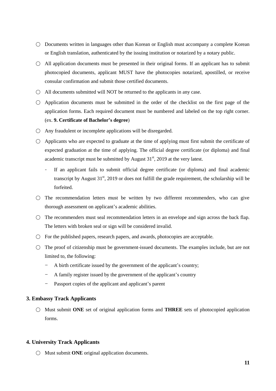- Documents written in languages other than Korean or English must accompany a complete Korean or English translation, authenticated by the issuing institution or notarized by a notary public.
- $\bigcirc$  All application documents must be presented in their original forms. If an applicant has to submit photocopied documents, applicant MUST have the photocopies notarized, apostilled, or receive consular confirmation and submit those certified documents.
- $\bigcirc$  All documents submitted will NOT be returned to the applicants in any case.
- Application documents must be submitted in the order of the checklist on the first page of the application forms. Each required document must be numbered and labeled on the top right corner. (ex. **9. Certificate of Bachelor's degree**)
- $\bigcirc$  Any fraudulent or incomplete applications will be disregarded.
- Applicants who are expected to graduate at the time of applying must first submit the certificate of expected graduation at the time of applying. The official degree certificate (or diploma) and final academic transcript must be submitted by August  $31<sup>st</sup>$ , 2019 at the very latest.
	- If an applicant fails to submit official degree certificate (or diploma) and final academic transcript by August  $31<sup>st</sup>$ , 2019 or does not fulfill the grade requirement, the scholarship will be forfeited.
- $\bigcirc$  The recommendation letters must be written by two different recommenders, who can give thorough assessment on applicant's academic abilities.
- $\bigcirc$  The recommenders must seal recommendation letters in an envelope and sign across the back flap. The letters with broken seal or sign will be considered invalid.
- $\bigcirc$  For the published papers, research papers, and awards, photocopies are acceptable.
- $\bigcirc$  The proof of citizenship must be government-issued documents. The examples include, but are not limited to, the following:
	- A birth certificate issued by the government of the applicant's country;
	- A family register issued by the government of the applicant's country
	- Passport copies of the applicant and applicant's parent

### **3. Embassy Track Applicants**

○ Must submit **ONE** set of original application forms and **THREE** sets of photocopied application forms.

### **4. University Track Applicants**

○ Must submit **ONE** original application documents.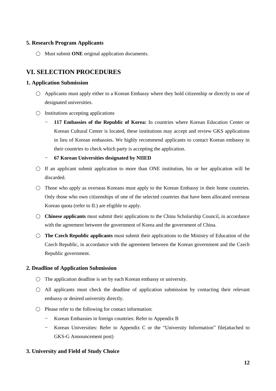## **5. Research Program Applicants**

○ Must submit **ONE** original application documents.

## <span id="page-13-0"></span>**VI. SELECTION PROCEDURES**

## **1. Application Submission**

- Applicants must apply either to a Korean Embassy where they hold citizenship or directly to one of designated universities.
- $\bigcirc$  Institutions accepting applications
	- **117 Embassies of the Republic of Korea:** In countries where Korean Education Center or Korean Cultural Center is located, these institutions may accept and review GKS applications in lieu of Korean embassies. We highly recommend applicants to contact Korean embassy in their countries to check which party is accepting the application.
	- **67 Korean Universities designated by NIIED**
- $\circ$  If an applicant submit application to more than ONE institution, his or her application will be discarded.
- Those who apply as overseas Koreans must apply to the Korean Embassy in their home countries. Only those who own citizenships of one of the selected countries that have been allocated overseas Korean quota (refer to II.) are eligible to apply.
- **Chinese applicants** must submit their applications to the China Scholarship Council, in accordance with the agreement between the government of Korea and the government of China.
- **The Czech Republic applicants** must submit their applications to the Ministry of Education of the Czech Republic, in accordance with the agreement between the Korean government and the Czech Republic government.

## **2. Deadline of Application Submission**

- $\bigcirc$  The application deadline is set by each Korean embassy or university.
- $\bigcirc$  All applicants must check the deadline of application submission by contacting their relevant embassy or desired university directly.
- Please refer to the following for contact information:
	- Korean Embassies in foreign countries: Refer to Appendix B
	- Korean Universities: Refer to Appendix C or the "University Information" file(attached to GKS-G Announcement post)

## **3. University and Field of Study Choice**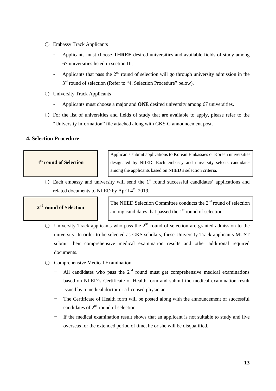- Embassy Track Applicants
	- Applicants must choose **THREE** desired universities and available fields of study among 67 universities listed in section III.
	- Applicants that pass the  $2<sup>nd</sup>$  round of selection will go through university admission in the 3<sup>rd</sup> round of selection (Refer to "4. Selection Procedure" below).
- University Track Applicants
	- Applicants must choose a major and **ONE** desired university among 67 universities.
- $\circ$  For the list of universities and fields of study that are available to apply, please refer to the "University Information" file attached along with GKS-G announcement post.

### **4. Selection Procedure**

#### **1 st round of Selection**

Applicants submit applications to Korean Embassies or Korean universities designated by NIIED. Each embassy and university selects candidates among the applicants based on NIIED's selection criteria.

 $\bigcirc$  Each embassy and university will send the 1<sup>st</sup> round successful candidates' applications and related documents to NIIED by April 4<sup>th</sup>, 2019.

### **2 nd round of Selection**

The NIIED Selection Committee conducts the  $2<sup>nd</sup>$  round of selection among candidates that passed the  $1<sup>st</sup>$  round of selection.

- $\bigcirc$  University Track applicants who pass the 2<sup>nd</sup> round of selection are granted admission to the university. In order to be selected as GKS scholars, these University Track applicants MUST submit their comprehensive medical examination results and other additional required documents.
- Comprehensive Medical Examination
	- All candidates who pass the  $2<sup>nd</sup>$  round must get comprehensive medical examinations based on NIIED's Certificate of Health form and submit the medical examination result issued by a medical doctor or a licensed physician.
	- The Certificate of Health form will be posted along with the announcement of successful candidates of  $2<sup>nd</sup>$  round of selection.
	- If the medical examination result shows that an applicant is not suitable to study and live overseas for the extended period of time, he or she will be disqualified.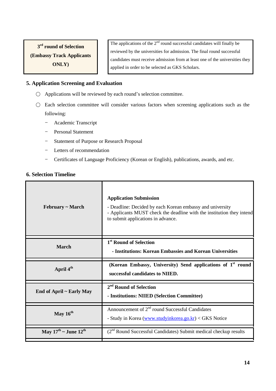**3 rd round of Selection (Embassy Track Applicants ONLY)**

The applications of the  $2<sup>nd</sup>$  round successful candidates will finally be reviewed by the universities for admission. The final round successful candidates must receive admission from at least one of the universities they applied in order to be selected as GKS Scholars.

## **5. Application Screening and Evaluation**

- $\bigcirc$  Applications will be reviewed by each round's selection committee.
- Each selection committee will consider various factors when screening applications such as the following:
	- Academic Transcript
	- Personal Statement
	- Statement of Purpose or Research Proposal
	- Letters of recommendation
	- Certificates of Language Proficiency (Korean or English), publications, awards, and etc.

## **6. Selection Timeline**

| February ~ March                             | <b>Application Submission</b><br>- Deadline: Decided by each Korean embassy and university<br>- Applicants MUST check the deadline with the institution they intend<br>to submit applications in advance. |
|----------------------------------------------|-----------------------------------------------------------------------------------------------------------------------------------------------------------------------------------------------------------|
| <b>March</b>                                 | 1 <sup>st</sup> Round of Selection<br>- Institutions: Korean Embassies and Korean Universities                                                                                                            |
| April 4 <sup>th</sup>                        | (Korean Embassy, University) Send applications of 1 <sup>st</sup> round<br>successful candidates to NIIED.                                                                                                |
| End of April ~ Early May                     | 2 <sup>nd</sup> Round of Selection<br>- Institutions: NIIED (Selection Committee)                                                                                                                         |
| May $16^{th}$                                | Announcement of $2nd$ round Successful Candidates<br>- Study in Korea (www.studyinkorea.go.kr) < GKS Notice                                                                                               |
| May $17^{\text{th}}$ ~ June $12^{\text{th}}$ | (2 <sup>nd</sup> Round Successful Candidates) Submit medical checkup results                                                                                                                              |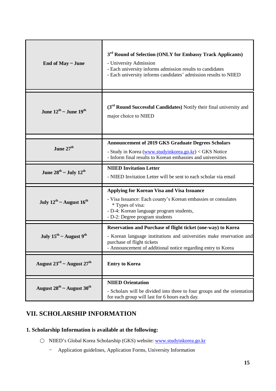| End of May ~ June                                 | 3 <sup>rd</sup> Round of Selection (ONLY for Embassy Track Applicants)<br>- University Admission<br>- Each university informs admission results to candidates<br>- Each university informs candidates' admission results to NIIED |
|---------------------------------------------------|-----------------------------------------------------------------------------------------------------------------------------------------------------------------------------------------------------------------------------------|
| June $12^{\text{th}}$ ~ June $19^{\text{th}}$     | (3 <sup>rd</sup> Round Successful Candidates) Notify their final university and<br>major choice to NIIED                                                                                                                          |
|                                                   | <b>Announcement of 2019 GKS Graduate Degrees Scholars</b>                                                                                                                                                                         |
| June $27th$                                       | - Study in Korea (www.studyinkorea.go.kr) < GKS Notice<br>- Inform final results to Korean embassies and universities                                                                                                             |
| June $28^{th}$ ~ July $12^{th}$                   | <b>NIIED Invitation Letter</b><br>- NIIED Invitation Letter will be sent to each scholar via email                                                                                                                                |
| July $12^{th}$ ~ August $16^{th}$                 | <b>Applying for Korean Visa and Visa Issuance</b><br>- Visa Issuance: Each county's Korean embassies or consulates<br>* Types of visa:<br>- D-4: Korean language program students,<br>- D-2: Degree program students              |
|                                                   | Reservation and Purchase of flight ticket (one-way) to Korea                                                                                                                                                                      |
| July $15^{th}$ ~ August 9 <sup>th</sup>           | - Korean language institutions and universities make reservation and<br>purchase of flight tickets<br>- Announcement of additional notice regarding entry to Korea                                                                |
| August $23^{\text{rd}}$ ~ August $27^{\text{th}}$ | <b>Entry to Korea</b>                                                                                                                                                                                                             |
|                                                   | <b>NIIED Orientation</b>                                                                                                                                                                                                          |
| August $28^{th}$ ~ August $30^{th}$               | - Scholars will be divided into three to four groups and the orientation<br>for each group will last for 6 hours each day.                                                                                                        |

## <span id="page-16-0"></span>**VII. SCHOLARSHIP INFORMATION**

## **1. Scholarship Information is available at the following:**

- NIIED's Global Korea Scholarship (GKS) website: [www.studyinkorea.go.kr](http://www.studyinkorea.go.kr/)
	- Application guidelines, Application Forms, University Information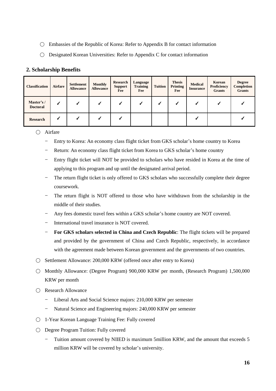- Embassies of the Republic of Korea: Refer to Appendix B for contact information
- $\bigcirc$  Designated Korean Universities: Refer to Appendix C for contact information

## **2. Scholarship Benefits**

| <b>Classification</b>        | Airfare | <b>Settlement</b><br><b>Allowance</b> | <b>Monthly</b><br><b>Allowance</b> | <b>Research</b><br><b>Support</b><br>Fee | Language<br><b>Training</b><br>Fee | <b>Tuition</b> | <b>Thesis</b><br>Printing<br>Fee | <b>Medical</b><br><b>Insurance</b> | Korean<br>Proficiency<br><b>Grants</b> | <b>Degree</b><br><b>Completion</b><br><b>Grants</b> |
|------------------------------|---------|---------------------------------------|------------------------------------|------------------------------------------|------------------------------------|----------------|----------------------------------|------------------------------------|----------------------------------------|-----------------------------------------------------|
| Master's/<br><b>Doctoral</b> |         |                                       |                                    |                                          |                                    |                |                                  |                                    |                                        |                                                     |
| <b>Research</b>              |         |                                       |                                    |                                          |                                    |                |                                  |                                    |                                        |                                                     |

## ○ Airfare

- Entry to Korea: An economy class flight ticket from GKS scholar's home country to Korea
- Return: An economy class flight ticket from Korea to GKS scholar's home country
- Entry flight ticket will NOT be provided to scholars who have resided in Korea at the time of applying to this program and up until the designated arrival period.
- The return flight ticket is only offered to GKS scholars who successfully complete their degree coursework.
- The return flight is NOT offered to those who have withdrawn from the scholarship in the middle of their studies.
- Any fees domestic travel fees within a GKS scholar's home country are NOT covered.
- International travel insurance is NOT covered.
- **For GKS scholars selected in China and Czech Republic**: The flight tickets will be prepared and provided by the government of China and Czech Republic, respectively, in accordance with the agreement made between Korean government and the governments of two countries.
- Settlement Allowance: 200,000 KRW (offered once after entry to Korea)
- Monthly Allowance: (Degree Program) 900,000 KRW per month, (Research Program) 1,500,000 KRW per month
- Research Allowance
	- Liberal Arts and Social Science majors: 210,000 KRW per semester
	- Natural Science and Engineering majors: 240,000 KRW per semester
- 1-Year Korean Language Training Fee: Fully covered
- Degree Program Tuition: Fully covered
	- Tuition amount covered by NIIED is maximum 5million KRW, and the amount that exceeds 5 million KRW will be covered by scholar's university.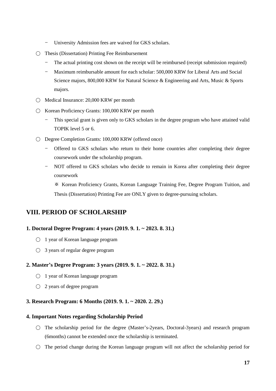- University Admission fees are waived for GKS scholars.
- Thesis (Dissertation) Printing Fee Reimbursement
	- The actual printing cost shown on the receipt will be reimbursed (receipt submission required)
	- Maximum reimbursable amount for each scholar: 500,000 KRW for Liberal Arts and Social Science majors, 800,000 KRW for Natural Science & Engineering and Arts, Music & Sports majors.
- Medical Insurance: 20,000 KRW per month
- Korean Proficiency Grants: 100,000 KRW per month
	- This special grant is given only to GKS scholars in the degree program who have attained valid TOPIK level 5 or 6.
- Degree Completion Grants: 100,000 KRW (offered once)
	- Offered to GKS scholars who return to their home countries after completing their degree coursework under the scholarship program.
	- NOT offered to GKS scholars who decide to remain in Korea after completing their degree coursework

※ Korean Proficiency Grants, Korean Language Training Fee, Degree Program Tuition, and Thesis (Dissertation) Printing Fee are ONLY given to degree-pursuing scholars.

## <span id="page-18-0"></span>**VIII. PERIOD OF SCHOLARSHIP**

### **1. Doctoral Degree Program: 4 years (2019. 9. 1. ~ 2023. 8. 31.)**

- 1 year of Korean language program
- $\bigcirc$  3 years of regular degree program

### **2. Master's Degree Program: 3 years (2019. 9. 1. ~ 2022. 8. 31.)**

- 1 year of Korean language program
- 2 years of degree program

### **3. Research Program: 6 Months (2019. 9. 1. ~ 2020. 2. 29.)**

#### **4. Important Notes regarding Scholarship Period**

- The scholarship period for the degree (Master's-2years, Doctoral-3years) and research program (6months) cannot be extended once the scholarship is terminated.
- $\circ$  The period change during the Korean language program will not affect the scholarship period for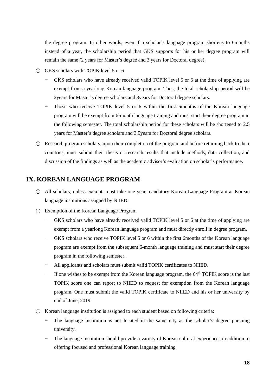the degree program. In other words, even if a scholar's language program shortens to 6months instead of a year, the scholarship period that GKS supports for his or her degree program will remain the same (2 years for Master's degree and 3 years for Doctoral degree).

- $\bigcirc$  GKS scholars with TOPIK level 5 or 6
	- GKS scholars who have already received valid TOPIK level 5 or 6 at the time of applying are exempt from a yearlong Korean language program. Thus, the total scholarship period will be 2years for Master's degree scholars and 3years for Doctoral degree scholars.
	- Those who receive TOPIK level 5 or 6 within the first 6months of the Korean language program will be exempt from 6-month language training and must start their degree program in the following semester. The total scholarship period for these scholars will be shortened to 2.5 years for Master's degree scholars and 3.5years for Doctoral degree scholars.
- $\circ$  Research program scholars, upon their completion of the program and before returning back to their countries, must submit their thesis or research results that include methods, data collection, and discussion of the findings as well as the academic advisor's evaluation on scholar's performance.

## <span id="page-19-0"></span>**IX. KOREAN LANGUAGE PROGRAM**

- All scholars, unless exempt, must take one year mandatory Korean Language Program at Korean language institutions assigned by NIIED.
- Exemption of the Korean Language Program
	- GKS scholars who have already received valid TOPIK level 5 or 6 at the time of applying are exempt from a yearlong Korean language program and must directly enroll in degree program.
	- GKS scholars who receive TOPIK level 5 or 6 within the first 6months of the Korean language program are exempt from the subsequent 6-month language training and must start their degree program in the following semester.
	- All applicants and scholars must submit valid TOPIK certificates to NIIED.
	- If one wishes to be exempt from the Korean language program, the  $64<sup>th</sup>$  TOPIK score is the last TOPIK score one can report to NIIED to request for exemption from the Korean language program. One must submit the valid TOPIK certificate to NIIED and his or her university by end of June, 2019.
- $\circ$  Korean language institution is assigned to each student based on following criteria:
	- The language institution is not located in the same city as the scholar's degree pursuing university.
	- The language institution should provide a variety of Korean cultural experiences in addition to offering focused and professional Korean language training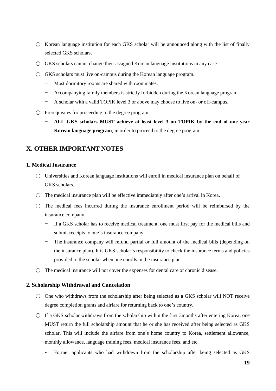- $\circ$  Korean language institution for each GKS scholar will be announced along with the list of finally selected GKS scholars.
- $\bigcirc$  GKS scholars cannot change their assigned Korean language institutions in any case.
- $\bigcirc$  GKS scholars must live on-campus during the Korean language program.
	- Most dormitory rooms are shared with roommates.
	- Accompanying family members is strictly forbidden during the Korean language program.
	- A scholar with a valid TOPIK level 3 or above may choose to live on- or off-campus.
- $\bigcirc$  Prerequisites for proceeding to the degree program
	- **ALL GKS scholars MUST achieve at least level 3 on TOPIK by the end of one year Korean language program**, in order to proceed to the degree program.

## <span id="page-20-0"></span>**X. OTHER IMPORTANT NOTES**

## **1. Medical Insurance**

- Universities and Korean language institutions will enroll in medical insurance plan on behalf of GKS scholars.
- The medical insurance plan will be effective immediately after one's arrival in Korea.
- $\bigcirc$  The medical fees incurred during the insurance enrollment period will be reimbursed by the insurance company.
	- If a GKS scholar has to receive medical treatment, one must first pay for the medical bills and submit receipts to one's insurance company.
	- The insurance company will refund partial or full amount of the medical bills (depending on the insurance plan). It is GKS scholar's responsibility to check the insurance terms and policies provided to the scholar when one enrolls in the insurance plan.
- $\bigcirc$  The medical insurance will not cover the expenses for dental care or chronic disease.

### **2. Scholarship Withdrawal and Cancelation**

- $\circ$  One who withdraws from the scholarship after being selected as a GKS scholar will NOT receive degree completion grants and airfare for returning back to one's country.
- $\bigcirc$  If a GKS scholar withdraws from the scholarship within the first 3months after entering Korea, one MUST return the full scholarship amount that he or she has received after being selected as GKS scholar. This will include the airfare from one's home country to Korea, settlement allowance, monthly allowance, language training fees, medical insurance fees, and etc.
	- Former applicants who had withdrawn from the scholarship after being selected as GKS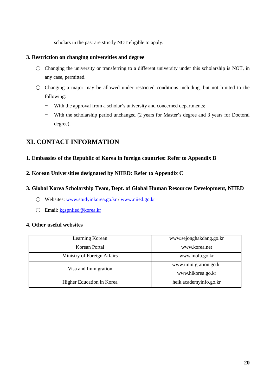scholars in the past are strictly NOT eligible to apply.

## **3. Restriction on changing universities and degree**

- Changing the university or transferring to a different university under this scholarship is NOT, in any case, permitted.
- Changing a major may be allowed under restricted conditions including, but not limited to the following:
	- With the approval from a scholar's university and concerned departments;
	- With the scholarship period unchanged (2 years for Master's degree and 3 years for Doctoral degree).

## <span id="page-21-0"></span>**XI. CONTACT INFORMATION**

## **1. Embassies of the Republic of Korea in foreign countries: Refer to Appendix B**

## **2. Korean Universities designated by NIIED: Refer to Appendix C**

## **3. Global Korea Scholarship Team, Dept. of Global Human Resources Development, NIIED**

- Websites: [www.studyinkorea.go.kr](http://www.studyinkorea.go.kr/) / [www.niied.go.kr](http://www.niied.go.kr/)
- Email: [kgspniied@korea.kr](mailto:kgspniied@korea.kr)

### **4. Other useful websites**

| Learning Korean             | www.sejonghakdang.go.kr |  |  |  |
|-----------------------------|-------------------------|--|--|--|
| Korean Portal               | www.korea.net           |  |  |  |
| Ministry of Foreign Affairs | www.mofa.go.kr          |  |  |  |
| Visa and Immigration        | www.immigration.go.kr   |  |  |  |
|                             | www.hikorea.go.kr       |  |  |  |
| Higher Education in Korea   | heik.academyinfo.go.kr  |  |  |  |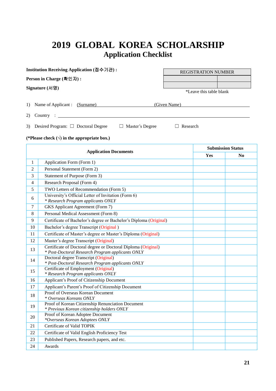## <span id="page-22-0"></span>**2019 GLOBAL KOREA SCHOLARSHIP Application Checklist**

|                          | Institution Receiving Application (접수기관):                                                 | <b>REGISTRATION NUMBER</b> |                         |                |  |  |  |  |
|--------------------------|-------------------------------------------------------------------------------------------|----------------------------|-------------------------|----------------|--|--|--|--|
|                          | Person in Charge (확인자):                                                                   |                            |                         |                |  |  |  |  |
|                          | Signature (서명)                                                                            |                            | *Leave this table blank |                |  |  |  |  |
| 1)                       | Name of Applicant : (Surname)<br>(Given Name)                                             |                            |                         |                |  |  |  |  |
| 2)                       | Country:                                                                                  |                            |                         |                |  |  |  |  |
| 3)                       | Desired Program: $\Box$ Doctoral Degree<br>Master's Degree<br>Research<br>$\Box$          |                            |                         |                |  |  |  |  |
|                          | (*Please check $(\sqrt{})$ in the appropriate box.)                                       |                            |                         |                |  |  |  |  |
| <b>Submission Status</b> |                                                                                           |                            |                         |                |  |  |  |  |
|                          | <b>Application Documents</b>                                                              |                            | Yes                     | N <sub>0</sub> |  |  |  |  |
| $\mathbf{1}$             | Application Form (Form 1)                                                                 |                            |                         |                |  |  |  |  |
| $\overline{2}$           | Personal Statement (Form 2)                                                               |                            |                         |                |  |  |  |  |
| 3                        | Statement of Purpose (Form 3)                                                             |                            |                         |                |  |  |  |  |
| $\overline{4}$           | Research Proposal (Form 4)                                                                |                            |                         |                |  |  |  |  |
| 5                        | TWO Letters of Recommendation (Form 5)                                                    |                            |                         |                |  |  |  |  |
| 6                        | University's Official Letter of Invitation (Form 6)<br>* Research Program applicants ONLY |                            |                         |                |  |  |  |  |
| 7                        | GKS Applicant Agreement (Form 7)                                                          |                            |                         |                |  |  |  |  |
| 8                        | Personal Medical Assessment (Form 8)                                                      |                            |                         |                |  |  |  |  |
| 9                        | Certificate of Bachelor's degree or Bachelor's Diploma (Original)                         |                            |                         |                |  |  |  |  |
| 10                       | Bachelor's degree Transcript (Original)                                                   |                            |                         |                |  |  |  |  |
| 11                       | Certificate of Master's degree or Master's Diploma (Original)                             |                            |                         |                |  |  |  |  |
| 12                       | Master's degree Transcript (Original)                                                     |                            |                         |                |  |  |  |  |
| 13                       | Certificate of Doctoral degree or Doctoral Diploma (Original)                             |                            |                         |                |  |  |  |  |

|    | Certificate of Doctoral degree or Doctoral Diploma (Original) |  |
|----|---------------------------------------------------------------|--|
| 13 | * Post-Doctoral Research Program applicants ONLY              |  |
| 14 | Doctoral degree Transcript (Original)                         |  |
|    | * Post-Doctoral Research Program applicants ONLY              |  |
| 15 | Certificate of Employment (Original)                          |  |
|    | * Research Program applicants ONLY                            |  |
| 16 | Applicant's Proof of Citizenship Document                     |  |
| 17 | Applicant's Parent's Proof of Citizenship Document            |  |
| 18 | Proof of Overseas Korean Document                             |  |
|    | * Overseas Koreans ONLY                                       |  |
| 19 | Proof of Korean Citizenship Renunciation Document             |  |
|    | * Previous Korean citizenship holders ONLY                    |  |
| 20 | Proof of Korean Adoptee Document                              |  |
|    | *Overseas Korean Adoptees ONLY                                |  |
| 21 | Certificate of Valid TOPIK                                    |  |
| 22 | Certificate of Valid English Proficiency Test                 |  |
| 23 | Published Papers, Research papers, and etc.                   |  |
| 24 | Awards                                                        |  |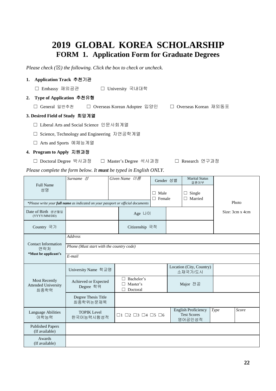## **2019 GLOBAL KOREA SCHOLARSHIP FORM 1. Application Form for Graduate Degrees**

<span id="page-23-0"></span>*Please check (*☒*) the following. Click the box to check or uncheck.* 

### **1. Application Track** 추천기관

☐ Embassy 재외공관 ☐ University 국내대학

#### **2. Type of Application** 추천유형

☐ General 일반추천 ☐ Overseas Korean Adoptee 입양인 ☐ Overseas Korean 재외동포

#### **3. Desired Field of Study** 희망계열

- ☐ Liberal Arts and Social Science 인문사회계열
- ☐ Science, Technology and Engineering 자연공학계열
- ☐ Arts and Sports 예체능계열

#### **4. Program to Apply** 지원과정

☐ Doctoral Degree 박사과정 ☐ Master's Degree 석사과정 ☐ Research 연구과정

*Please complete the form below. It must be typed in English ONLY.*

| <b>Full Name</b><br>성명                                     | $Surname \n\mathcal{L}$                                                          |  | Given Name $0/\epsilon$<br>П.<br>$\Box$               |  | Gender 성별<br>Male<br>Female | <b>Marital Status</b><br>결혼여부<br>Single<br>$\Box$<br>Married<br>П |      |                 |  |
|------------------------------------------------------------|----------------------------------------------------------------------------------|--|-------------------------------------------------------|--|-----------------------------|-------------------------------------------------------------------|------|-----------------|--|
|                                                            | *Please write your full name as indicated on your passport or official documents |  |                                                       |  |                             |                                                                   |      | Photo           |  |
| Date of Birth 생년월일<br>(YYYY/MM/DD)                         |                                                                                  |  | Age L+0                                               |  |                             |                                                                   |      | Size: 3cm x 4cm |  |
| Country 국가                                                 |                                                                                  |  | Citizenship 국적                                        |  |                             |                                                                   |      |                 |  |
| <b>Contact Information</b>                                 | <b>Address</b>                                                                   |  |                                                       |  |                             |                                                                   |      |                 |  |
| 연락처<br>*Must be applicant's                                | Phone (Must start with the country code)                                         |  |                                                       |  |                             |                                                                   |      |                 |  |
|                                                            | E-mail                                                                           |  |                                                       |  |                             |                                                                   |      |                 |  |
|                                                            | University Name 학교명                                                              |  |                                                       |  |                             | Location (City, Country)<br>소재국가/도시                               |      |                 |  |
| <b>Most Recently</b><br><b>Attended University</b><br>최종학력 | Achieved or Expected<br>Degree 학위                                                |  | Bachelor's<br>Master's<br>Doctoral                    |  |                             | Major 전공                                                          |      |                 |  |
|                                                            | Degree Thesis Title<br>최종학위논문제목                                                  |  |                                                       |  |                             |                                                                   |      |                 |  |
| Language Abilities<br>어학능력                                 | <b>TOPIK Level</b><br>한국어능력시험성적                                                  |  | $\Box$ 1 $\Box$ 2 $\Box$ 3 $\Box$ 4 $\Box$ 5 $\Box$ 6 |  |                             | <b>English Proficiency</b><br><b>Test Scores</b><br>영어공인성적        | Type | Score           |  |
| <b>Published Papers</b><br>(If available)                  |                                                                                  |  |                                                       |  |                             |                                                                   |      |                 |  |
| Awards<br>(If available)                                   |                                                                                  |  |                                                       |  |                             |                                                                   |      |                 |  |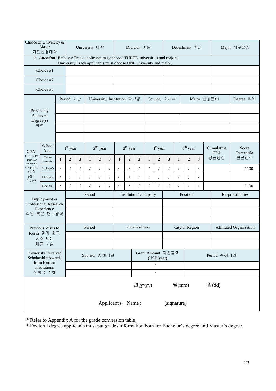| Choice of University &<br>Major<br>지원신청대학                                                                                                             |                                           | University 대학 |                |            |              | Division 계열    |                |                            | Department 학과  |          |              |                | Major 세부전공        |              |                          |                  |                                   |      |           |
|-------------------------------------------------------------------------------------------------------------------------------------------------------|-------------------------------------------|---------------|----------------|------------|--------------|----------------|----------------|----------------------------|----------------|----------|--------------|----------------|-------------------|--------------|--------------------------|------------------|-----------------------------------|------|-----------|
| * Attention! Embassy Track applicants must choose THREE universities and majors.<br>University Track applicants must choose ONE university and major. |                                           |               |                |            |              |                |                |                            |                |          |              |                |                   |              |                          |                  |                                   |      |           |
|                                                                                                                                                       | Choice #1                                 |               |                |            |              |                |                |                            |                |          |              |                |                   |              |                          |                  |                                   |      |           |
|                                                                                                                                                       | Choice #2                                 |               |                |            |              |                |                |                            |                |          |              |                |                   |              |                          |                  |                                   |      |           |
|                                                                                                                                                       | Choice #3                                 |               |                |            |              |                |                |                            |                |          |              |                |                   |              |                          |                  |                                   |      |           |
|                                                                                                                                                       |                                           |               | Period 기간      |            |              |                |                | University/Institution 학교명 |                |          |              |                | Country 소재국       |              |                          | Major 전공분야       |                                   |      | Degree 학위 |
|                                                                                                                                                       | Previously                                |               |                |            |              |                |                |                            |                |          |              |                |                   |              |                          |                  |                                   |      |           |
| Achieved<br>Degree(s)                                                                                                                                 |                                           |               |                |            |              |                |                |                            |                |          |              |                |                   |              |                          |                  |                                   |      |           |
| 학력                                                                                                                                                    |                                           |               |                |            |              |                |                |                            |                |          |              |                |                   |              |                          |                  |                                   |      |           |
|                                                                                                                                                       |                                           |               |                |            |              |                |                |                            |                |          |              |                |                   |              |                          |                  |                                   |      |           |
| $GPA*$                                                                                                                                                | School<br>Year                            |               | $1st$ year     |            |              | $2nd$ year     |                |                            | $3rd$ year     |          |              | $4th$ year     |                   |              | $5th$ year<br>Cumulative |                  | Score<br><b>GPA</b><br>Percentile |      |           |
| (ONLY for<br>terms or<br>semesters                                                                                                                    | Term/<br>Semester                         | 1             | $\overline{c}$ | 3          | $\mathbf{1}$ | $\overline{2}$ | 3              | $\mathbf{1}$               | $\overline{2}$ | 3        | $\mathbf{1}$ | $\overline{2}$ | 3                 | $\mathbf{1}$ | $\overline{c}$           | 3                |                                   | 평균평점 | 환산점수      |
| completed)<br>성적                                                                                                                                      | Bachelor's                                | $\sqrt{2}$    |                | $\sqrt{2}$ | $\sqrt{2}$   | $\sqrt{2}$     | $\overline{1}$ | $\sqrt{2}$                 | $\overline{1}$ | $\prime$ |              | $\sqrt{2}$     | $\sqrt{2}$        | $\sqrt{2}$   | $\sqrt{2}$               | $\sqrt{2}$       |                                   |      | /100      |
| (이수<br>학기만)                                                                                                                                           | Master's                                  |               |                | $\sqrt{2}$ | $\sqrt{2}$   | $\overline{1}$ | $\overline{1}$ | $\overline{1}$             |                |          |              |                | $\sqrt{2}$        | $\sqrt{2}$   | $\sqrt{2}$               | $\sqrt{2}$       |                                   |      |           |
|                                                                                                                                                       | Doctoral                                  |               |                | $\sqrt{2}$ |              | $\sqrt{2}$     |                | $\overline{1}$             |                |          |              |                | $\sqrt{2}$        |              | $\sqrt{2}$               | $\prime$         |                                   |      | /100      |
|                                                                                                                                                       | Employment or                             |               |                | Period     |              |                |                | Institution/Company        |                |          |              | Position       |                   |              |                          | Responsibilities |                                   |      |           |
|                                                                                                                                                       | Professional Research<br>Experience       |               |                |            |              |                |                |                            |                |          |              |                |                   |              |                          |                  |                                   |      |           |
|                                                                                                                                                       | 직업 혹은 연구경력                                |               |                |            |              |                |                |                            |                |          |              |                |                   |              |                          |                  |                                   |      |           |
|                                                                                                                                                       | Previous Visits to                        |               |                |            | Period       |                |                | Purpose of Stay            |                |          |              | City or Region |                   |              |                          |                  | Affiliated Organization           |      |           |
|                                                                                                                                                       | Korea 과거 한국<br>거주 또는                      |               |                |            |              |                |                |                            |                |          |              |                |                   |              |                          |                  |                                   |      |           |
|                                                                                                                                                       | 체류 사실                                     |               |                |            |              |                |                |                            |                |          |              |                |                   |              |                          |                  |                                   |      |           |
|                                                                                                                                                       | Previously Received<br>Scholarship Awards |               |                |            | Sponsor 지원기관 |                |                |                            |                |          |              | (USD/year)     | Grant Amount 지원금액 |              | Period 수혜기간              |                  |                                   |      |           |
|                                                                                                                                                       | from Korean<br>institutions               |               |                |            |              |                |                |                            |                |          |              | $\sqrt{2}$     |                   |              |                          |                  |                                   |      |           |
|                                                                                                                                                       | 장학금 수혜                                    |               |                |            |              |                |                |                            |                |          |              | $\sqrt{2}$     |                   |              |                          |                  |                                   |      |           |
|                                                                                                                                                       | 년(yyyy)<br>월 $(mm)$<br>일 $(dd)$           |               |                |            |              |                |                |                            |                |          |              |                |                   |              |                          |                  |                                   |      |           |
|                                                                                                                                                       | Applicant's<br>Name:<br>(signature)       |               |                |            |              |                |                |                            |                |          |              |                |                   |              |                          |                  |                                   |      |           |

\* Refer to Appendix A for the grade conversion table.

\* Doctoral degree applicants must put grades information both for Bachelor's degree and Master's degree.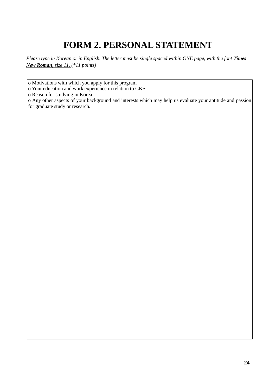## **FORM 2. PERSONAL STATEMENT**

<span id="page-25-0"></span>*Please type in Korean or in English. The letter must be single spaced within ONE page, with the font Times New Roman, size 11. (\*11 points)*

o Motivations with which you apply for this program

o Your education and work experience in relation to GKS.

o Reason for studying in Korea

o Any other aspects of your background and interests which may help us evaluate your aptitude and passion for graduate study or research.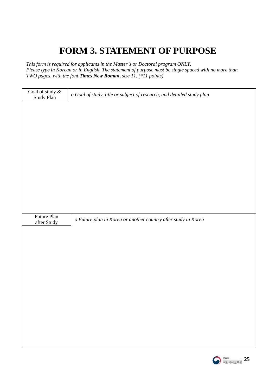## **FORM 3. STATEMENT OF PURPOSE**

<span id="page-26-0"></span>*This form is required for applicants in the Master's or Doctoral program ONLY. Please type in Korean or in English. The statement of purpose must be single spaced with no more than TWO pages, with the font Times New Roman, size 11. (\*11 points)*

| Goal of study $\&$<br>Study Plan | o Goal of study, title or subject of research, and detailed study plan |
|----------------------------------|------------------------------------------------------------------------|
|                                  |                                                                        |
|                                  |                                                                        |
|                                  |                                                                        |
|                                  |                                                                        |
|                                  |                                                                        |
|                                  |                                                                        |
|                                  |                                                                        |
|                                  |                                                                        |
|                                  |                                                                        |
| Future Plan<br>after Study       | o Future plan in Korea or another country after study in Korea         |
|                                  |                                                                        |
|                                  |                                                                        |
|                                  |                                                                        |
|                                  |                                                                        |
|                                  |                                                                        |
|                                  |                                                                        |
|                                  |                                                                        |
|                                  |                                                                        |
|                                  |                                                                        |
|                                  |                                                                        |

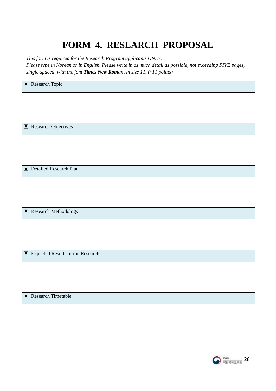## **FORM 4. RESEARCH PROPOSAL**

<span id="page-27-0"></span>*This form is required for the Research Program applicants ONLY.* 

*Please type in Korean or in English. Please write in as much detail as possible, not exceeding FIVE pages, single-spaced, with the font Times New Roman, in size 11. (\*11 points)*

| $\blacksquare$<br>Expected Results of the Research |
|----------------------------------------------------|

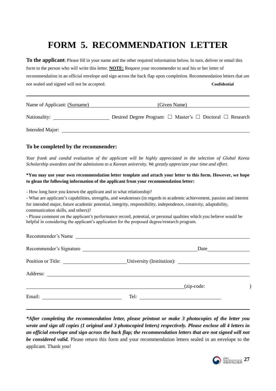## **FORM 5. RECOMMENDATION LETTER**

<span id="page-28-0"></span>**To the applicant**: Please fill in your name and the other required information below. In turn, deliver or email this form to the person who will write this letter. **NOTE:** Request your recommender to seal his or her letter of recommendation in an official envelope and sign across the back flap upon completion. Recommendation letters that are not sealed and signed will not be accepted. **Confidential**

| Name of Applicant: (Surname) | (Given Name)                                                            |
|------------------------------|-------------------------------------------------------------------------|
| Nationality:                 | Desired Degree Program: $\Box$ Master's $\Box$ Doctoral $\Box$ Research |
| Intended Major:              |                                                                         |

#### **To be completed by the recommender:**

l,

*Your frank and candid evaluation of the applicant will be highly appreciated in the selection of Global Korea Scholarship awardees and the admissions to a Korean university. We greatly appreciate your time and effort.*

#### **\*You may use your own recommendation letter template and attach your letter to this form. However, we hope to glean the following information of the applicant from your recommendation letter:**

- How long have you known the applicant and in what relationship?

- What are applicant's capabilities, strengths, and weaknesses (in regards to academic achievement, passion and interest for intended major, future academic potential, integrity, responsibility, independence, creativity, adaptability, communication skills, and others)?

- Please comment on the applicant's performance record, potential, or personal qualities which you believe would be helpful in considering the applicant's application for the proposed degree/research program.

| Recommender's Name                           |  |
|----------------------------------------------|--|
| Recommender's Signature                      |  |
| Position or Title: University (Institution): |  |
|                                              |  |
| (zip-code:                                   |  |
|                                              |  |
|                                              |  |

*\*After completing the recommendation letter, please printout or make 3 photocopies of the letter you wrote and sign all copies (1 original and 3 photocopied letters) respectively. Please enclose all 4 letters in an official envelope and sign across the back flap; the recommendation letters that are not signed will not be considered valid.* Please return this form and your recommendation letters sealed in an envelope to the applicant. Thank you!

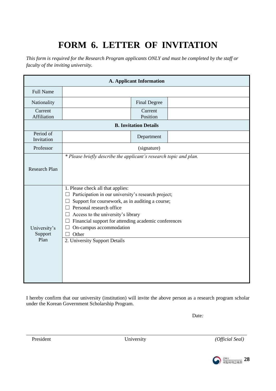## **FORM 6. LETTER OF INVITATION**

<span id="page-29-0"></span>*This form is required for the Research Program applicants ONLY and must be completed by the staff or faculty of the inviting university.* 

| <b>A. Applicant Information</b> |                                                                                                                                                                                                                                                                                                                                          |                              |  |  |  |  |  |
|---------------------------------|------------------------------------------------------------------------------------------------------------------------------------------------------------------------------------------------------------------------------------------------------------------------------------------------------------------------------------------|------------------------------|--|--|--|--|--|
| <b>Full Name</b>                |                                                                                                                                                                                                                                                                                                                                          |                              |  |  |  |  |  |
| Nationality                     |                                                                                                                                                                                                                                                                                                                                          | <b>Final Degree</b>          |  |  |  |  |  |
| Current<br>Affiliation          |                                                                                                                                                                                                                                                                                                                                          | Current<br>Position          |  |  |  |  |  |
|                                 |                                                                                                                                                                                                                                                                                                                                          | <b>B. Invitation Details</b> |  |  |  |  |  |
| Period of<br>Invitation         |                                                                                                                                                                                                                                                                                                                                          | Department                   |  |  |  |  |  |
| Professor                       |                                                                                                                                                                                                                                                                                                                                          | (signature)                  |  |  |  |  |  |
| Research Plan                   | * Please briefly describe the applicant's research topic and plan.                                                                                                                                                                                                                                                                       |                              |  |  |  |  |  |
| University's<br>Support         | 1. Please check all that applies:<br>Participation in our university's research project;<br>Support for coursework, as in auditing a course;<br>Ш<br>Personal research office<br>$\Box$<br>Access to the university's library<br>⊔<br>Financial support for attending academic conferences<br>$\Box$<br>On-campus accommodation<br>Other |                              |  |  |  |  |  |
| Plan                            | 2. University Support Details                                                                                                                                                                                                                                                                                                            |                              |  |  |  |  |  |

I hereby confirm that our university (institution) will invite the above person as a research program scholar under the Korean Government Scholarship Program.

Date:

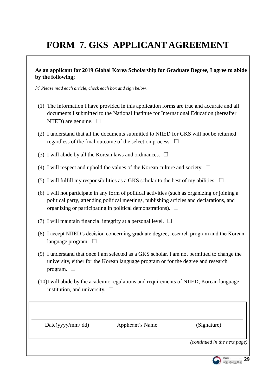## <span id="page-30-0"></span>**FORM 7. GKS APPLICANT AGREEMENT**

## **As an applicant for 2019 Global Korea Scholarship for Graduate Degree, I agree to abide by the following;**

※ *Please read each article, check each box and sign below.*

- (1) The information I have provided in this application forms are true and accurate and all documents I submitted to the National Institute for International Education (hereafter NIIED) are genuine.  $\Box$
- (2) I understand that all the documents submitted to NIIED for GKS will not be returned regardless of the final outcome of the selection process.  $\Box$
- (3) I will abide by all the Korean laws and ordinances.  $\Box$
- (4) I will respect and uphold the values of the Korean culture and society.  $\Box$
- (5) I will fulfill my responsibilities as a GKS scholar to the best of my abilities.  $\Box$
- (6) I will not participate in any form of political activities (such as organizing or joining a political party, attending political meetings, publishing articles and declarations, and organizing or participating in political demonstrations).  $\Box$
- (7) I will maintain financial integrity at a personal level.  $\Box$
- (8) I accept NIIED's decision concerning graduate degree, research program and the Korean language program.  $\Box$
- (9) I understand that once I am selected as a GKS scholar. I am not permitted to change the university, either for the Korean language program or for the degree and research program.  $\Box$
- (10)I will abide by the academic regulations and requirements of NIIED, Korean language institution, and university.  $\Box$

Date(yyyy/mm/ dd) Applicant's Name (Signature)

*(continued in the next page)*

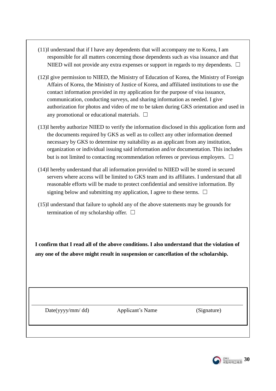- (11)I understand that if I have any dependents that will accompany me to Korea, I am responsible for all matters concerning those dependents such as visa issuance and that NIIED will not provide any extra expenses or support in regards to my dependents.  $\Box$
- (12)I give permission to NIIED, the Ministry of Education of Korea, the Ministry of Foreign Affairs of Korea, the Ministry of Justice of Korea, and affiliated institutions to use the contact information provided in my application for the purpose of visa issuance, communication, conducting surveys, and sharing information as needed. I give authorization for photos and video of me to be taken during GKS orientation and used in any promotional or educational materials.  $\Box$
- (13)I hereby authorize NIIED to verify the information disclosed in this application form and the documents required by GKS as well as to collect any other information deemed necessary by GKS to determine my suitability as an applicant from any institution, organization or individual issuing said information and/or documentation. This includes but is not limited to contacting recommendation referees or previous employers.  $\Box$
- (14)I hereby understand that all information provided to NIIED will be stored in secured servers where access will be limited to GKS team and its affiliates. I understand that all reasonable efforts will be made to protect confidential and sensitive information. By signing below and submitting my application, I agree to these terms.  $\Box$
- (15)I understand that failure to uphold any of the above statements may be grounds for termination of my scholarship offer.  $\Box$

**I confirm that I read all of the above conditions. I also understand that the violation of any one of the above might result in suspension or cancellation of the scholarship.**

Date(yyyy/mm/ dd) Applicant's Name (Signature)

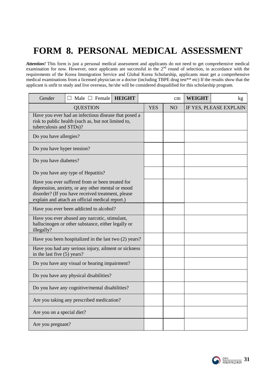## <span id="page-32-0"></span>**FORM 8. PERSONAL MEDICAL ASSESSMENT**

*Attention!* This form is just a personal medical assessment and applicants do not need to get comprehensive medical examination for now. However, once applicants are successful in the  $2<sup>nd</sup>$  round of selection, in accordance with the requirements of the Korea Immigration Service and Global Korea Scholarship, applicants must get a comprehensive medical examinations from a licensed physician or a doctor (including TBPE drug test\*\* etc) If the results show that the applicant is unfit to study and live overseas, he/she will be considered disqualified for this scholarship program.

| Gender                      | Male $\Box$ Female                                                                                                                                                                                          | <b>HEIGHT</b> |            | cm | <b>WEIGHT</b> | kg                     |
|-----------------------------|-------------------------------------------------------------------------------------------------------------------------------------------------------------------------------------------------------------|---------------|------------|----|---------------|------------------------|
|                             | <b>QUESTION</b>                                                                                                                                                                                             |               | <b>YES</b> | NO |               | IF YES, PLEASE EXPLAIN |
| tuberculosis and STDs)?     | Have you ever had an infectious disease that posed a<br>risk to public health (such as, but not limited to,                                                                                                 |               |            |    |               |                        |
| Do you have allergies?      |                                                                                                                                                                                                             |               |            |    |               |                        |
| Do you have hyper tension?  |                                                                                                                                                                                                             |               |            |    |               |                        |
| Do you have diabetes?       |                                                                                                                                                                                                             |               |            |    |               |                        |
|                             | Do you have any type of Hepatitis?                                                                                                                                                                          |               |            |    |               |                        |
|                             | Have you ever suffered from or been treated for<br>depression, anxiety, or any other mental or mood<br>disorder? (If you have received treatment, please<br>explain and attach an official medical report.) |               |            |    |               |                        |
|                             | Have you ever been addicted to alcohol?                                                                                                                                                                     |               |            |    |               |                        |
| illegally?                  | Have you ever abused any narcotic, stimulant,<br>hallucinogen or other substance, either legally or                                                                                                         |               |            |    |               |                        |
|                             | Have you been hospitalized in the last two (2) years?                                                                                                                                                       |               |            |    |               |                        |
| in the last five (5) years? | Have you had any serious injury, ailment or sickness                                                                                                                                                        |               |            |    |               |                        |
|                             | Do you have any visual or hearing impairment?                                                                                                                                                               |               |            |    |               |                        |
|                             | Do you have any physical disabilities?                                                                                                                                                                      |               |            |    |               |                        |
|                             | Do you have any cognitive/mental disabilities?                                                                                                                                                              |               |            |    |               |                        |
|                             | Are you taking any prescribed medication?                                                                                                                                                                   |               |            |    |               |                        |
| Are you on a special diet?  |                                                                                                                                                                                                             |               |            |    |               |                        |
| Are you pregnant?           |                                                                                                                                                                                                             |               |            |    |               |                        |

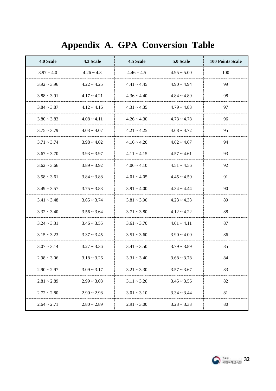## **Appendix A. GPA Conversion Table**

<span id="page-33-0"></span>

| 4.0 Scale        | 4.3 Scale        | 4.5 Scale        | 5.0 Scale        | <b>100 Points Scale</b> |
|------------------|------------------|------------------|------------------|-------------------------|
| $3.97 - 4.0$     | $4.26 - 4.3$     | $4.46 \sim 4.5$  | $4.95 \sim 5.00$ | 100                     |
| $3.92 - 3.96$    | $4.22 \div 4.25$ | $4.41 \sim 4.45$ | $4.90 \sim 4.94$ | 99                      |
| $3.88 \sim 3.91$ | $4.17 - 4.21$    | $4.36 \sim 4.40$ | $4.84 \sim 4.89$ | 98                      |
| $3.84 - 3.87$    | $4.12 - 4.16$    | $4.31 - 4.35$    | $4.79 - 4.83$    | 97                      |
| $3.80 - 3.83$    | $4.08 \sim 4.11$ | $4.26 \sim 4.30$ | $4.73 \sim 4.78$ | 96                      |
| $3.75 \sim 3.79$ | $4.03 \sim 4.07$ | $4.21 - 4.25$    | $4.68 \sim 4.72$ | 95                      |
| $3.71 - 3.74$    | $3.98 - 4.02$    | $4.16 - 4.20$    | $4.62 \sim 4.67$ | 94                      |
| $3.67 \sim 3.70$ | $3.93 \sim 3.97$ | $4.11 - 4.15$    | $4.57 \sim 4.61$ | 93                      |
| $3.62 \sim 3.66$ | $3.89 - 3.92$    | $4.06 \sim 4.10$ | $4.51 - 4.56$    | 92                      |
| $3.58 \sim 3.61$ | $3.84 \sim 3.88$ | $4.01 - 4.05$    | $4.45 \sim 4.50$ | 91                      |
| $3.49 - 3.57$    | $3.75 \sim 3.83$ | $3.91 - 4.00$    | $4.34 \sim 4.44$ | 90                      |
| $3.41 - 3.48$    | $3.65 \sim 3.74$ | $3.81 - 3.90$    | $4.23 \sim 4.33$ | 89                      |
| $3.32 \sim 3.40$ | $3.56 \sim 3.64$ | $3.71 - 3.80$    | $4.12 - 4.22$    | 88                      |
| $3.24 \sim 3.31$ | $3.46 \sim 3.55$ | $3.61 - 3.70$    | $4.01 - 4.11$    | 87                      |
| $3.15 - 3.23$    | $3.37 \sim 3.45$ | $3.51 - 3.60$    | $3.90 - 4.00$    | 86                      |
| $3.07 - 3.14$    | $3.27 - 3.36$    | $3.41 - 3.50$    | $3.79 - 3.89$    | 85                      |
| $2.98 \sim 3.06$ | $3.18 \sim 3.26$ | $3.31 - 3.40$    | $3.68 \sim 3.78$ | 84                      |
| $2.90 - 2.97$    | $3.09 - 3.17$    | $3.21 - 3.30$    | $3.57 - 3.67$    | 83                      |
| $2.81 - 2.89$    | $2.99 - 3.08$    | $3.11 - 3.20$    | $3.45 \sim 3.56$ | 82                      |
| $2.72 \sim 2.80$ | $2.90 - 2.98$    | $3.01 - 3.10$    | $3.34 \sim 3.44$ | 81                      |
| $2.64 \sim 2.71$ | $2.80 - 2.89$    | $2.91 - 3.00$    | $3.23 - 3.33$    | 80                      |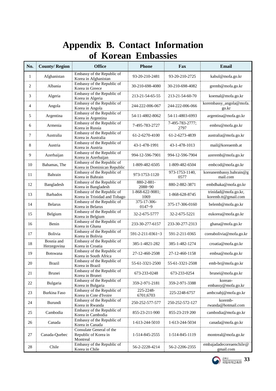## **Appendix B. Contact Information of Korean Embassies**

<span id="page-34-0"></span>

| No. | <b>County/Region</b>      | <b>Office</b>                                                | <b>Phone</b>               | Fax                     | <b>Email</b>                                |
|-----|---------------------------|--------------------------------------------------------------|----------------------------|-------------------------|---------------------------------------------|
| 1   | Afghanistan               | Embassy of the Republic of<br>Korea in Afghanistan           | 93-20-210-2481             | 93-20-210-2725          | kabul@mofa.go.kr                            |
| 2   | Albania                   | Embassy of the Republic of<br>Korea in Greece                | 30-210-698-4080            | 30-210-698-4082         | gremb@mofa.go.kr                            |
| 3   | Algeria                   | Embassy of the Republic of<br>Korea in Algeria               | 213-21-54-65-55            | 213-21-54-60-70         | koemal@mofa.go.kr                           |
| 4   | Angola                    | Embassy of the Republic of<br>Korea in Angola                | 244-222-006-067            | 244-222-006-066         | korembassy_angola@mofa.<br>go.kr            |
| 5   | Argentina                 | Embassy of the Republic of<br>Korea in Argentina             | 54-11-4802-8062            | 54-11-4803-6993         | argentina@mofa.go.kr                        |
| 6   | Armenia                   | Embassy of the Republic of<br>Korea in Russia                | 7-495-783-2727             | 7-495-783-2777;<br>2797 | embru@mofa.go.kr                            |
| 7   | Australia                 | Embassy of the Republic of<br>Korea in Australia             | 61-2-6270-4100             | 61-2-6273-4839          | australia@mofa.go.kr                        |
| 8   | Austria                   | Embassy of the Republic of<br>Korea in Austria               | 43-1-478-1991              | 43-1-478-1013           | mail@koreaemb.at                            |
| 9   | Azerbaijan                | Embassy of the Republic of<br>Korea in Azerbaijan            | 994-12-596-7901            | 994-12-596-7904         | azeremb@mofa.go.kr                          |
| 10  | Bahamas, The              | Embassy of the Republic of<br>Korea in Dominican Republic    | 1-809-482-6505             | 1-809-482-6504          | embcod@mofa.go.kr                           |
| 11  | Bahrain                   | Embassy of the Republic of<br>Korea in Bahrain               | 973-1753-1120              | 973-1753-1140,<br>0577  | koreanembassy.bahrain@g<br>mail.com         |
| 12  | Bangladesh                | Embassy of the Republic of<br>Korea in Bangladesh            | 880-2-881-<br>2088~90      | 880-2-882-3871          | embdhaka@mofa.go.kr                         |
| 13  | <b>Barbados</b>           | Embassy of the Republic of<br>Korea in Trinidad and Tobago   | 1-868-622-9081:<br>1069    | 1-868-628-8745          | trinidad@mofa.go.kr,<br>koremb.tt@gmail.com |
| 14  | <b>Belarus</b>            | Embassy of the Republic of<br>Korea in Belarus               | 375-17-306-<br>$0147 - 9$  | 375-17-306-0160         | belemb@mofa.go.kr                           |
| 15  | Belgium                   | Embassy of the Republic of<br>Korea in Belgium               | 32-2-675-5777              | 32-2-675-5221           | eukorea@mofa.go.kr                          |
| 16  | Benin                     | Embassy of the Republic of<br>Korea in Ghana                 | 233-30-277-6157            | 233-30-277-2313         | ghana@mofa.go.kr                            |
| 17  | Bolivia                   | Embassy of the Republic of<br>Korea in Bolivia               | $591 - 2 - 211 - 0361 - 3$ | 591-2-211-0365          | coreabolivia@mofa.go.kr                     |
| 18  | Bosnia and<br>Herzegovina | Embassy of the Republic of<br>Korea in Croatia               | 385-1-4821-282             | 385-1-482-1274          | croatia@mofa.go.kr                          |
| 19  | Botswana                  | Embassy of the Republic of<br>Korea in South Africa          | 27-12-460-2508             | 27-12-460-1158          | embsa@mofa.go.kr                            |
| 20  | <b>Brazil</b>             | Embassy of the Republic of<br>Korea in Brazil                | 55-61-3321-2500            | 55-61-3321-2508         | emb-br@mofa.go.kr                           |
| 21  | Brunei                    | Embassy of the Republic of<br>Korea in Brunei                | 673-233-0248               | 673-233-0254            | brunei@mofa.go.kr                           |
| 22  | Bulgaria                  | Embassy of the Republic of<br>Korea in Bulgaria              | 359-2-971-2181             | 359-2-971-3388          | korean-<br>embassy@mofa.go.kr               |
| 23  | Burkina Faso              | Embassy of the Republic of<br>Korea in Cote d'Ivoire         | 225-2248-<br>6701;6703     | 225-2248-6757           | ambcoabj@mofa.go.kr                         |
| 24  | Burundi                   | Embassy of the Republic of<br>Korea in Rwanda                | 250-252-577-577            | 250-252-572-127         | koremb-<br>rwanda@hotmail.com               |
| 25  | Cambodia                  | Embassy of the Republic of<br>Korea in Cambodia              | 855-23-211-900             | 855-23-219 200          | cambodia@mofa.go.kr                         |
| 26  | Canada                    | Embassy of the Republic of<br>Korea in Canada                | 1-613-244-5010             | 1-613-244-5034          | canada@mofa.go.kr                           |
| 27  | Canada-Quebec             | Consulate General of the<br>Republic of Korea in<br>Montreal | 1-514-845-2555             | 1-514-845-1119          | montreal@mofa.go.kr                         |
| 28  | Chile                     | Embassy of the Republic of<br>Korea in Chile                 | 56-2-2228-4214             | 56-2-2206-2355          | embajadadecoreaenchile@<br>gmail.com        |

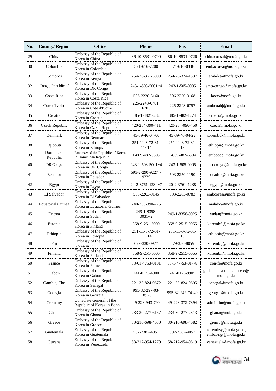| No. | <b>County/Region</b>     | <b>Office</b>                                             | <b>Phone</b>                     | Fax                   | Email                                           |
|-----|--------------------------|-----------------------------------------------------------|----------------------------------|-----------------------|-------------------------------------------------|
| 29  | China                    | Embassy of the Republic of<br>Korea in China              | 86-10-8531-0700                  | 86-10-8531-0726       | chinaconsul@mofa.go.kr                          |
| 30  | Colombia                 | Embassy of the Republic of<br>Korea in Colombia           | 571-616-7200                     | 571-610-0338          | embacorea@mofa.go.kr                            |
| 31  | Comoros                  | Embassy of the Republic of<br>Korea in Kenya              | 254-20-361-5000                  | 254-20-374-1337       | emb-ke@mofa.go.kr                               |
| 32  | Congo, Republic of       | Embassy of the Republic of<br>Korea in DR Congo           | $243 - 1 - 503 - 5001 - 4$       | 243-1-505-0005        | amb-congo@mofa.go.kr                            |
| 33  | Costa Rica               | Embassy of the Republic of<br>Korea in Costa Rica         | 506-2220-3160                    | 506-2220-3168         | koco@mofa.go.kr                                 |
| 34  | Cote d'Ivoire            | Embassy of the Republic of<br>Korea in Cote d'Ivoire      | 225-2248-6701;<br>6703           | 225-2248-6757         | ambcoabj@mofa.go.kr                             |
| 35  | Croatia                  | Embassy of the Republic of<br>Korea in Croatia            | 385-1-4821-282                   | 385-1-482-1274        | croatia@mofa.go.kr                              |
| 36  | Czech Republic           | Embassy of the Republic of<br>Korea in Czech Republic     | 420-234-090-411                  | 420-234-090-450       | czech@mofa.go.kr                                |
| 37  | Denmark                  | Embassy of the Republic of<br>Korea in Denmark            | 45-39-46-04-00                   | 45-39-46-04-22        | korembdk@mofa.go.kr                             |
| 38  | Djibouti                 | Embassy of the Republic of<br>Korea in Ethiopia           | 251-11-3-72-81-<br>$11 - 14$     | 251-11-3-72-81-<br>15 | ethiopia@mofa.go.kr                             |
| 39  | Dominican<br>Republic    | Embassy of the Republic of Korea<br>in Dominican Republic | 1-809-482-6505                   | 1-809-482-6504        | embcod@mofa.go.kr                               |
| 40  | DR Congo                 | Embassy of the Republic of<br>Korea in DR Congo           | $243 - 1 - 503 - 5001 - 4$       | 243-1-505-0005        | amb-congo@mofa.go.kr                            |
| 41  | Ecuador                  | Embassy of the Republic of<br>Korea in Ecuador            | $593 - 2 - 290 - 9227$ ~<br>9229 | 593-2250-1190         | ecuador@mofa.go.kr                              |
| 42  | Egypt                    | Embassy of the Republic of<br>Korea in Egypt              | 20-2-3761-1234~7                 | 20-2-3761-1238        | egypt@mofa.go.kr                                |
| 43  | El Salvador              | Embassy of the Republic of<br>Korea in El Salvador        | 503-2263-9145                    | 503-2263-0783         | embcorea@mofa.go.kr                             |
| 44  | <b>Equatorial Guinea</b> | Embassy of the Republic of<br>Korea in Equatorial Guinea  | 240-333-890-775                  |                       | malabo@mofa.go.kr                               |
| 45  | Eritrea                  | Embassy of the Republic of<br>Korea in Sudan              | 249-1-8358-<br>$0031 - 2$        | 249-1-8358-0025       | sudan@mofa.go.kr                                |
| 46  | Estonia                  | Embassy of the Republic of<br>Korea in Finland            | 358-9-251-5000                   | 358-9-2515-0055       | korembfi@mofa.go.kr                             |
| 47  | Ethiopia                 | Embassy of the Republic of<br>Korea in Ethiopia           | 251-11-3-72-81-<br>$11 - 14$     | 251-11-3-72-81-<br>15 | ethiopia@mofa.go.kr                             |
| 48  | Fiji                     | Embassy of the Republic of<br>Korea in Fiji               | 679-330-0977                     | 679-330-8059          | korembfj@mofa.go.kr                             |
| 49  | Finland                  | Embassy of the Republic of<br>Korea in Finland            | 358-9-251-5000                   | 358-9-2515-0055       | korembfi@mofa.go.kr                             |
| 50  | France                   | Embassy of the Republic of<br>Korea in France             | 33-01-4753-0101                  | 33-1-47-53-01-78      | con-fr@mofa.go.kr                               |
| 51  | Gabon                    | Embassy of the Republic of<br>Korea in Gabon              | 241-0173-4000                    | 241-0173-9905         | $g$ a b o n - a m b c o r e e $@$<br>mofa.go.kr |
| 52  | Gambia, The              | Embassy of the Republic of<br>Korea in Senegal            | 221-33-824-0672                  | 221-33-824-0695       | senegal@mofa.go.kr                              |
| 53  | Georgia                  | Embassy of the Republic of<br>Korea in Georgia            | 995-32-297-03-<br>18:20          | 995-32-242-74-40      | georgia@mofa.go.kr                              |
| 54  | Germany                  | Consulate General of the<br>Republic of Korea in Bonn     | 49-228-943-790                   | 49-228-372-7894       | admin-bn@mofa.go.kr                             |
| 55  | Ghana                    | Embassy of the Republic of<br>Korea in Ghana              | 233-30-277-6157                  | 233-30-277-2313       | ghana@mofa.go.kr                                |
| 56  | Greece                   | Embassy of the Republic of<br>Korea in Greece             | 30-210-698-4080                  | 30-210-698-4082       | gremb@mofa.go.kr                                |
| 57  | Guatemala                | Embassy of the Republic of<br>Korea in Guatemala          | 502-2382-4051                    | 502-2382-4057         | korembsy@mofa.go.kr,<br>embcor.gt@mofa.go.kr    |
| 58  | Guyana                   | Embassy of the Republic of<br>Korea in Venezuela          | 58-212-954-1270                  | 58-212-954-0619       | venezuela@mofa.go.kr                            |

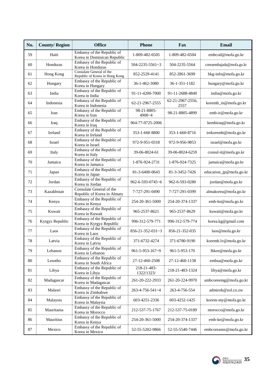| No. | <b>County/Region</b> | <b>Office</b>                                              | <b>Phone</b>               | Fax                      | Email                    |
|-----|----------------------|------------------------------------------------------------|----------------------------|--------------------------|--------------------------|
| 59  | Haiti                | Embassy of the Republic of<br>Korea in Dominican Republic  | 1-809-482-6505             | 1-809-482-6504           | embcod@mofa.go.kr        |
| 60  | Honduras             | Embassy of the Republic of<br>Korea in Honduras            | $504 - 2235 - 5561 - 3$    | 504-2235-5564            | coreaembajada@mofa.go.kr |
| 61  | Hong Kong            | Consulate General of the<br>Republic of Korea in Hong Kong | 852-2529-4141              | 852-2861-3699            | hkg-info@mofa.go.kr      |
| 62  | Hungary              | Embassy of the Republic of<br>Korea in Hungary             | 36-1-462-3080              | 36-1-351-1182            | hungary@mofa.go.kr       |
| 63  | India                | Embassy of the Republic of<br>Korea in India               | 91-11-4200-7000            | 91-11-2688-4840          | india@mofa.go.kr         |
| 64  | Indonesia            | Embassy of the Republic of<br>Korea in Indonesia           | 62-21-2967-2555            | 62-21-2967-2556,<br>2557 | koremb_in@mofa.go.kr     |
| 65  | Iran                 | Embassy of the Republic of<br>Korea in Iran                | 98-21-8805-<br>4900~4      | 98-21-8805-4899          | emb-ir@mofa.go.kr        |
| 66  | Iraq                 | Embassy of the Republic of<br>Korea in Iraq                | 964-77-0725-2006           |                          | kembiraq@mofa.go.kr      |
| 67  | Ireland              | Embassy of the Republic of<br>Korea in Ireland             | 353-1-660 8800             | 353-1-660-8716           | irekoremb@mofa.go.kr     |
| 68  | Israel               | Embassy of the Republic of<br>Korea in Israel              | 972-9-951-0318             | 972-9-956-9853           | israel@mofa.go.kr        |
| 69  | Italy                | Embassy of the Republic of<br>Korea in Italy               | 39-06-8024-61              | 39-06-8024-6259          | consul-it@mofa.go.kr     |
| 70  | Jamaica              | Embassy of the Republic of<br>Korea in Jamaica             | 1-876-924-2731             | 1-876-924-7325           | jamaica@mofa.go.kr       |
| 71  | Japan                | Embassy of the Republic of<br>Korea in Japan               | 81-3-6400-0643             | 81-3-3452-7426           | education_jp@mofa.go.kr  |
| 72  | Jordan               | Embassy of the Republic of<br>Korea in Jordan              | 962-6-593-0745~6           | 962-6-593-0280           | jordan@mofa.go.kr        |
| 73  | Kazakhstan           | Consulate General of the<br>Republic of Korea in Almaty    | 7-727-291-0490             | 7-727-291-0399           | almakorea@mofa.go.kr     |
| 74  | Kenya                | Embassy of the Republic of<br>Korea in Kenya               | 254-20-361-5000            | 254-20-374-1337          | emb-ke@mofa.go.kr        |
| 75  | Kuwait               | Embassy of the Republic of<br>Korea in Kuwait              | 965-2537-8621              | 965-2537-8629            | kuwait@mofa.go.kr        |
| 76  | Kyrgyz Republic      | Embassy of the Republic of<br>Korea in Kyrgyz Republic     | 996-312-579-771            | 996-312-579-774          | korea.kg@gmail.com       |
| 77  | Laos                 | Embassy of the Republic of<br>Korea in Laos                | $856 - 21 - 352 - 031 - 3$ | 856-21-352-035           | laos@mofa.go.kr          |
| 78  | Latvia               | Embassy of the Republic of<br>Korea in Latvia              | 371-6732-4274              | 371-6780-9190            | koremb.lv@mofa.go.kr     |
| 79  | Lebanon              | Embassy of the Republic of<br>Korea in Lebanon             | 961-5-953-167~9            | 961-5-953-170            | lbkor@mofa.go.kr         |
| 80  | Lesotho              | Embassy of the Republic of<br>Korea in South Africa        | 27-12-460-2508             | 27-12-460-1158           | embsa@mofa.go.kr         |
| 81  | Libya                | Embassy of the Republic of<br>Korea in Libya               | 218-21-483-<br>1322/1323/  | 218-21-483-1324          | libya@mofa.go.kr         |
| 82  | Madagascar           | Embassy of the Republic of<br>Korea in Madagascar          | 261-20-222-2933            | 261-20-224-9970          | ambcoreemg@mofa.go.kr    |
| 83  | Malawi               | Embassy of the Republic of<br>Korea in Zimbabwe            | 263-4-756-541~4            | 263-4-756-554            | admirok@zol.co.zw        |
| 84  | Malaysia             | Embassy of the Republic of<br>Korea in Malaysia            | 603-4251-2336              | 603-4252-1425            | korem-my@mofa.go.kr      |
| 85  | Mauritania           | Embassy of the Republic of<br>Korea in Morocco             | 212-537-75-1767            | 212-537-75-0189          | morocco@mofa.go.kr       |
| 86  | Mauritius            | Embassy of the Republic of<br>Korea in Kenya               | 254-20-361-5000            | 254-20-374-1337          | emb-ke@mofa.go.kr        |
| 87  | Mexico               | Embassy of the Republic of<br>Korea in Mexico              | 52-55-5202-9866            | 52-55-5540-7446          | embcoreamx@mofa.go.kr    |

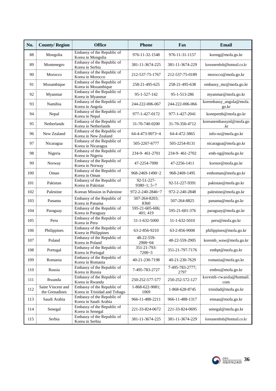| No. | <b>County/Region</b>                | <b>Office</b>                                              | <b>Phone</b>                    | Fax                     | <b>Email</b>                     |
|-----|-------------------------------------|------------------------------------------------------------|---------------------------------|-------------------------|----------------------------------|
| 88  | Mongolia                            | Embassy of the Republic of<br>Korea in Mongolia            | 976-11-32-1548                  | 976-11-31-1157          | kormg@mofa.go.kr                 |
| 89  | Montenegro                          | Embassy of the Republic of<br>Korea in Serbia              | 381-11-3674-225                 | 381-11-3674-229         | koreanembsb@hotmail.co.kr        |
| 90  | Morocco                             | Embassy of the Republic of<br>Korea in Morocco             | 212-537-75-1767                 | 212-537-75-0189         | morocco@mofa.go.kr               |
| 91  | Mozambique                          | Embassy of the Republic of<br>Korea in Mozambique          | 258-21-495-625                  | 258-21-495-638          | embassy_mz@mofa.go.kr            |
| 92  | Myanmar                             | Embassy of the Republic of<br>Korea in Myanmar             | 95-1-527-142                    | 95-1-513-286            | myanmar@mofa.go.kr               |
| 93  | Namibia                             | Embassy of the Republic of<br>Korea in Angola              | 244-222-006-067                 | 244-222-006-066         | korembassy_angola@mofa.<br>go.kr |
| 94  | Nepal                               | Embassy of the Republic of<br>Korea in Nepal               | 977-1-427-0172                  | 977-1-427-2041          | konepemb@mofa.go.kr              |
| 95  | Netherlands                         | Embassy of the Republic of<br>Korea in Netherlands         | 31-70-740-0200                  | 31-70-350-4712          | koreanembassynl@mofa.go<br>.kr   |
| 96  | New Zealand                         | Embassy of the Republic of<br>Korea in New Zealand         | 64-4-473-9073~4                 | 64-4-472-3865           | info-nz@mofa.go.kr               |
| 97  | Nicaragua                           | Embassy of the Republic of<br>Korea in Nicaragua           | 505-2267-6777                   | 505-2254-8131           | nicaragua@mofa.go.kr             |
| 98  | Nigeria                             | Embassy of the Republic of<br>Korea in Nigeria             | 234-9-461-2701                  | 234-9-461-2702          | emb-ng@mofa.go.kr                |
| 99  | Norway                              | Embassy of the Republic of<br>Korea in Norway              | 47-2254-7090                    | 47-2256-1411            | kornor@mofa.go.kr                |
| 100 | Oman                                | Embassy of the Republic of<br>Korea in Oman                | 968-2469-1490~2                 | 968-2469-1495           | emboman@mofa.go.kr               |
| 101 | Pakistan                            | Embassy of the Republic of<br>Korea in Pakistan            | 92-51-227-<br>$9380 - 1; 5 - 7$ | 92-51-227-9391          | pakistan@mofa.go.kr              |
| 102 | Palestine                           | Korean Mission in Palestine                                | 972-2-240-2846~7                | 972-2-240-2848          | palestine@mofa.go.kr             |
| 103 | Panama                              | Embassy of the Republic of<br>Korea in Panama              | 507-264-8203;<br>8360           | 507-264-8825            | panama@mofa.go.kr                |
| 104 | Paraguay                            | Embassy of the Republic of<br>Korea in Paraguay            | 595-21-605-606;<br>401; 419     | 595-21-601-376          | paraguay@mofa.go.kr              |
| 105 | Peru                                | Embassy of the Republic of<br>Korea in Peru                | 51-1-632-5000                   | 51-1-632-5010           | peru@mofa.go.kr                  |
| 106 | Philippines                         | Embassy of the Republic of<br>Korea in Philippines         | 63-2-856-9210                   | 63-2-856-9008           | philippines@mofa.go.kr           |
| 107 | Poland                              | Embassy of the Republic of<br>Korea in Poland              | 48-22-559-<br>2900~04           | 48-22-559-2905          | koremb_waw@mofa.go.kr            |
| 108 | Portugal                            | Embassy of the Republic of<br>Korea in Portugal            | 351-21-793-<br>$7200 - 3$       | 351-21-797-7176         | embpt@mofa.go.kr                 |
| 109 | Romania                             | Embassy of the Republic of<br>Korea in Romania             | 40-21-230-7198                  | 40-21-230-7629          | romania@mofa.go.kr               |
| 110 | Russia                              | Embassy of the Republic of<br>Korea in Russia              | 7-495-783-2727                  | 7-495-783-2777;<br>2797 | embru@mofa.go.kr                 |
| 111 | Rwanda                              | Embassy of the Republic of<br>Korea in Rwanda              | 250-252-577-577                 | 250-252-572-127         | koremb-rwanda@hotmail.<br>com    |
| 112 | Saint Vincent and<br>the Grenadines | Embassy of the Republic of<br>Korea in Trinidad and Tobago | 1-868-622-9081;<br>1069         | 1-868-628-8745          | trinidad@mofa.go.kr              |
| 113 | Saudi Arabia                        | Embassy of the Republic of<br>Korea in Saudi Arabia        | 966-11-488-2211                 | 966-11-488-1317         | emsau@mofa.go.kr                 |
| 114 | Senegal                             | Embassy of the Republic of<br>Korea in Senegal             | 221-33-824-0672                 | 221-33-824-0695         | senegal@mofa.go.kr               |
| 115 | Serbia                              | Embassy of the Republic of<br>Korea in Serbia              | 381-11-3674-225                 | 381-11-3674-229         | koreanembsb@hotmail.co.kr        |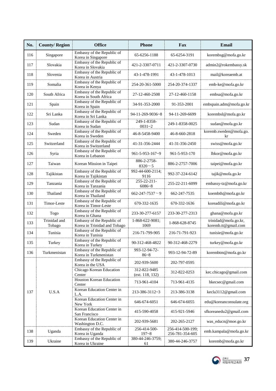| No. | <b>County/Region</b>   | <b>Office</b>                                              | <b>Phone</b>                    | Fax                                 | Email                                       |
|-----|------------------------|------------------------------------------------------------|---------------------------------|-------------------------------------|---------------------------------------------|
| 116 | Singapore              | Embassy of the Republic of<br>Korea in Singapore           | 65-6256-1188                    | 65-6254-3191                        | korembsg@mofa.go.kr                         |
| 117 | Slovakia               | Embassy of the Republic of<br>Korea in Slovakia            | 421-2-3307-0711                 | 421-2-3307-0730                     | admin2@rokembassy.sk                        |
| 118 | Slovenia               | Embassy of the Republic of<br>Korea in Austria             | 43-1-478-1991                   | 43-1-478-1013                       | mail@koreaemb.at                            |
| 119 | Somalia                | Embassy of the Republic of<br>Korea in Kenya               | 254-20-361-5000                 | 254-20-374-1337                     | emb-ke@mofa.go.kr                           |
| 120 | South Africa           | Embassy of the Republic of<br>Korea in South Africa        | 27-12-460-2508                  | 27-12-460-1158                      | embsa@mofa.go.kr                            |
| 121 | Spain                  | Embassy of the Republic of<br>Korea in Spain               | 34-91-353-2000                  | 91-353-2001                         | embspain.adm@mofa.go.kr                     |
| 122 | Sri Lanka              | Embassy of the Republic of<br>Korea in Sri Lanka           | 94-11-269-9036~8                | 94-11-269-6699                      | korembsl@mofa.go.kr                         |
| 123 | Sudan                  | Embassy of the Republic of<br>Korea in Sudan               | 249-1-8358-<br>$0031 - 2$       | 249-1-8358-0025                     | sudan@mofa.go.kr                            |
| 124 | Sweden                 | Embassy of the Republic of<br>Korea in Sweden              | 46-8-5458-9400                  | 46-8-660-2818                       | koremb.sweden@mofa.go.<br>kr                |
| 125 | Switzerland            | Embassy of the Republic of<br>Korea in Switzerland         | 41-31-356-2444                  | 41-31-356-2450                      | swiss@mofa.go.kr                            |
| 126 | Syria                  | Embassy of the Republic of<br>Korea in Lebanon             | 961-5-953-167~9                 | 961-5-953-170                       | lbkor@mofa.go.kr                            |
| 127 | Taiwan                 | Korean Mission in Taipei                                   | 886-2-2758-<br>$8320 - 5$       | 886-2-2757-7006                     | taipei@mofa.go.kr                           |
| 128 | Tajikistan             | Embassy of the Republic of<br>Korea in Tajikistan          | 992-44-600-2114;<br>9116        | 992-37-224-6142                     | tajik@mofa.go.kr                            |
| 129 | Tanzania               | Embassy of the Republic of<br>Korea in Tanzania            | 255-22-211-<br>$6086 - 8$       | 255-22-211-6099                     | embassy-tz@mofa.go.kr                       |
| 130 | Thailand               | Embassy of the Republic of<br>Korea in Thailand            | $662 - 247 - 7537 - 9$          | 662-247-7535                        | koembth@mofa.go.kr                          |
| 131 | Timor-Leste            | Embassy of the Republic of<br>Korea in Timor-Leste         | 670-332-1635                    | 670-332-1636                        | koreadili@mofa.go.kr                        |
| 132 | Togo                   | Embassy of the Republic of<br>Korea in Ghana               | 233-30-277-6157                 | 233-30-277-2313                     | ghana@mofa.go.kr                            |
| 133 | Trinidad and<br>Tobago | Embassy of the Republic of<br>Korea in Trinidad and Tobago | 1-868-622-9081;<br>1069         | 1-868-628-8745                      | trinidad@mofa.go.kr,<br>koremb.tt@gmail.com |
| 134 | Tunisia                | Embassy of the Republic of<br>Korea in Tunisia             | 216-71-799-905                  | 216-71-791-923                      | tunisie@mofa.go.kr                          |
| 135 | Turkey                 | Embassy of the Republic of<br>Korea in Turkey              | 90-312-468-4822                 | 90-312-468-2279                     | turkey@mofa.go.kr                           |
| 136 | Turkmenistan           | Embassy of the Republic of<br>Korea in Turkmenistan        | 993-12-94-72-<br>$86 - 8$       | 993-12-94-72-89                     | korembtm@mofa.go.kr                         |
|     |                        | Embassy of the Republic of<br>Korea in the USA             | 202-939-5600                    | 202-797-0595                        |                                             |
|     |                        | Chicago Korean Education<br>Center                         | 312-822-9485<br>(ext. 118, 132) | 312-822-0253                        | kec.chicago@gmail.com                       |
|     |                        | Houston Korean Education<br>Center                         | 713-961-4104                    | 713-961-4135                        | hkecsec@gmail.com                           |
| 137 | U.S.A                  | Korean Education Center in<br>L.A.                         | 213-386-3112~3                  | 213-386-3138                        | kecla3112@gmail.com                         |
|     |                        | Korean Education Center in<br>New York                     | 646-674-6051                    | 646-674-6055                        | edu@koreanconsulate.org                     |
|     |                        | Korean Education Center in<br>San Francisco                | 415-590-4058                    | 415-921-5946                        | sfkoreanedu2@gmail.com                      |
|     |                        | Korean Education Center in<br>Washington D.C.              | 202-939-5681                    | 202-265-2127                        | was_educn@moe.go.kr                         |
| 138 | Uganda                 | Embassy of the Republic of<br>Korea in Uganda              | 256-414-500-<br>$197 - 8$       | 256-414-500-199;<br>256-781-354-605 | emb.kampala@mofa.go.kr                      |
| 139 | Ukraine                | Embassy of the Republic of<br>Korea in Ukraine             | 380-44-246-3759;<br>61          | 380-44-246-3757                     | koremb@mofa.go.kr                           |

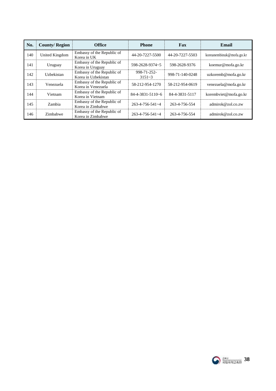| No. | <b>County/Region</b> | <b>Office</b>                                     | <b>Phone</b>               | Fax             | Email                    |
|-----|----------------------|---------------------------------------------------|----------------------------|-----------------|--------------------------|
| 140 | United Kingdom       | Embassy of the Republic of<br>Korea in UK         | 44-20-7227-5500            | 44-20-7227-5503 | koreanembinuk@mofa.go.kr |
| 141 | Uruguay              | Embassy of the Republic of<br>Korea in Uruguay    | 598-2628-9374~5            | 598-2628-9376   | koemur@mofa.go.kr        |
| 142 | Uzbekistan           | Embassy of the Republic of<br>Korea in Uzbekistan | 998-71-252-<br>$3151 - 3$  | 998-71-140-0248 | uzkoremb@mofa.go.kr      |
| 143 | Venezuela            | Embassy of the Republic of<br>Korea in Venezuela  | 58-212-954-1270            | 58-212-954-0619 | venezuela@mofa.go.kr     |
| 144 | Vietnam              | Embassy of the Republic of<br>Korea in Vietnam    | $84 - 4 - 3831 - 5110 - 6$ | 84-4-3831-5117  | korembviet@mofa.go.kr    |
| 145 | Zambia               | Embassy of the Republic of<br>Korea in Zimbabwe   | $263 - 4 - 756 - 541 - 4$  | 263-4-756-554   | admirok@zol.co.zw        |
| 146 | Zimbabwe             | Embassy of the Republic of<br>Korea in Zimbabwe   | $263 - 4 - 756 - 541 - 4$  | 263-4-756-554   | admirok@zol.co.zw        |

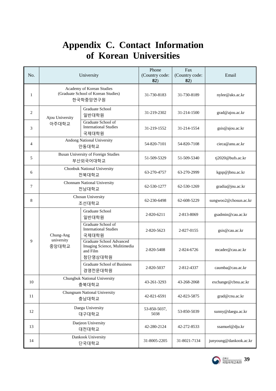## **Appendix C. Contact Information of Korean Universities**

<span id="page-40-0"></span>

| No.            | University                                                                   |                                                                                        | Phone<br>(Country code:<br>82) | Fax<br>(Country code:<br>82) | Email                  |
|----------------|------------------------------------------------------------------------------|----------------------------------------------------------------------------------------|--------------------------------|------------------------------|------------------------|
| 1              | Academy of Korean Studies<br>(Graduate School of Korean Studies)<br>한국학중앙연구원 |                                                                                        | 31-730-8183                    | 31-730-8189                  | nylee@aks.ac.kr        |
| 2              | Ajou University                                                              | Graduate School<br>일반대학원                                                               | 31-219-2302                    | 31-214-1500                  | grad@ajou.ac.kr        |
| 3              | 아주대학교                                                                        | Graduate School of<br><b>International Studies</b><br>국제대학원                            | 31-219-1552                    | 31-214-1554                  | gsis@ajou.ac.kr        |
| $\overline{4}$ |                                                                              | Andong National University<br>안동대학교                                                    | 54-820-7101                    | 54-820-7108                  | cieca@anu.ac.kr        |
| 5              |                                                                              | <b>Busan University of Foreign Studies</b><br>부산외국어대학교                                 | 51-509-5329                    | 51-509-5340                  | tj2020@bufs.ac.kr      |
| 6              |                                                                              | Chonbuk National University<br>전북대학교                                                   | 63-270-4757                    | 63-270-2999                  | kgsp@jbnu.ac.kr        |
| 7              | Chonnam National University<br>전남대학교                                         |                                                                                        | 62-530-1277                    | 62-530-1269                  | gradia@jnu.ac.kr       |
| 8              | Chosun University<br>조선대학교                                                   |                                                                                        | 62-230-6498                    | 62-608-5229                  | sungwoo2@chosun.ac.kr  |
|                | Chung-Ang<br>university<br>중앙대학교                                             | <b>Graduate School</b><br>일반대학원                                                        | 2-820-6211                     | 2-813-8069                   | gsadmin@cau.ac.kr      |
|                |                                                                              | Graduate School of<br><b>International Studies</b><br>국제대학원                            | 2-820-5623                     | 2-827-0155                   | gsis@cau.ac.kr         |
| 9              |                                                                              | <b>Graduate School Advanced</b><br>Imaging Science, Mulitimedia<br>and Film<br>첨단영상대학원 | 2-820-5408                     | 2-824-6726                   | mcader@cau.ac.kr       |
|                |                                                                              | <b>Graduate School of Business</b><br>경영전문대학원                                          | 2-820-5037                     | 2-812-4337                   | caumba@cau.ac.kr       |
| 10             | Chungbuk National University<br>충북대학교                                        |                                                                                        | 43-261-3293                    | 43-268-2068                  | exchange@cbnu.ac.kr    |
| 11             | Chungnam National University<br>충남대학교                                        |                                                                                        | 42-821-6591                    | 42-823-5875                  | grad@cnu.ac.kr         |
| 12             | Daegu University<br>대구대학교                                                    |                                                                                        | 53-850-5037,<br>5038           | 53-850-5039                  | sunny@daegu.ac.kr      |
| 13             |                                                                              | Daejeon University<br>대전대학교                                                            | 42-280-2124                    | 42-272-8533                  | ssamuel@dju.kr         |
| 14             |                                                                              | Dankook University<br>단국대학교                                                            | 31-8005-2205                   | 31-8021-7134                 | junyoung@dankook.ac.kr |

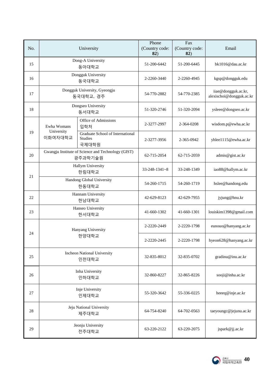| No. | University                         |                                                               | Phone<br>(Country code:<br>82) | Fax<br>(Country code:<br>82) | Email                                           |
|-----|------------------------------------|---------------------------------------------------------------|--------------------------------|------------------------------|-------------------------------------------------|
| 15  | Dong-A University<br>동아대학교         |                                                               | 51-200-6442                    | 51-200-6445                  | bk1016@dau.ac.kr                                |
| 16  |                                    | Dongguk University<br>동국대학교                                   | 2-2260-3440                    | 2-2260-4945                  | kgsp@dongguk.edu                                |
| 17  |                                    | Dongguk University, Gyeongju<br>동국대학교, 경주                     | 54-770-2882                    | 54-770-2385                  | iiae@dongguk.ac.kr,<br>alexischoi@dongguk.ac.kr |
| 18  |                                    | Dongseo University<br>동서대학교                                   | 51-320-2746                    | 51-320-2094                  | ysleee@dongseo.ac.kr                            |
|     | Ewha Womans                        | Office of Admissions<br>입학처                                   | 2-3277-2997                    | 2-364-0208                   | wisdom.p@ewha.ac.kr                             |
| 19  | University<br>이화여자대학교              | Graduate School of International<br><b>Studies</b><br>국제대학원   | 2-3277-3956                    | 2-365-0942                   | yhlee1115@ewha.ac.kr                            |
| 20  |                                    | Gwangju Institute of Science and Technology (GIST)<br>광주과학기술원 | 62-715-2054                    | 62-715-2059                  | admis@gist.ac.kr                                |
|     | <b>Hallym University</b><br>한림대학교  |                                                               | $33 - 248 - 1341 - 8$          | 33-248-1349                  | iao88@hallym.ac.kr                              |
| 21  | Handong Global University<br>한동대학교 |                                                               | 54-260-1715                    | 54-260-1719                  | hslee@handong.edu                               |
| 22  | Hannam University<br>한남대학교         |                                                               | 42-629-8123                    | 42-629-7955                  | jyjung@hnu.kr                                   |
| 23  | Hanseo University<br>한서대학교         |                                                               | 41-660-1302                    | 41-660-1301                  | louiskim1398@gmail.com                          |
| 24  | Hanyang University                 |                                                               | 2-2220-2449                    | 2-2220-1798                  | eunouo@hanyang.ac.kr                            |
|     |                                    | 한양대학교                                                         | 2-2220-2445                    | 2-2220-1798                  | hyeon628@hanyang.ac.kr                          |
| 25  |                                    | <b>Incheon National University</b><br>인천대학교                   | 32-835-8012                    | 32-835-0702                  | gradinu@inu.ac.kr                               |
| 26  |                                    | Inha University<br>인하대학교                                      | 32-860-8227                    | 32-865-8226                  | sooji@inha.ac.kr                                |
| 27  | Inje University<br>인제대학교           |                                                               | 55-320-3642                    | 55-336-0225                  | heeeq@inje.ac.kr                                |
| 28  |                                    | Jeju National University<br>제주대학교                             | 64-754-8240                    | 64-702-0563                  | taeyoungc@jejunu.ac.kr                          |
| 29  |                                    | Jeonju University<br>전주대학교                                    | 63-220-2122                    | 63-220-2075                  | jspark@jj.ac.kr                                 |

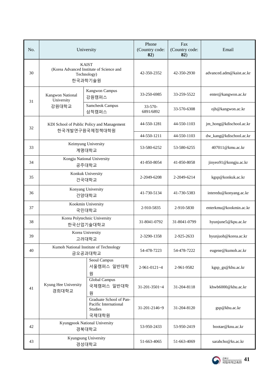| No. | University                                |                                                                                    | Phone<br>(Country code:<br>82) | Fax<br>(Country code:<br>82) | Email                    |
|-----|-------------------------------------------|------------------------------------------------------------------------------------|--------------------------------|------------------------------|--------------------------|
| 30  |                                           | <b>KAIST</b><br>(Korea Advanced Institute of Science and<br>Technology)<br>한국과학기술원 | 42-350-2352                    | 42-350-2930                  | advanced.adm@kaist.ac.kr |
| 31  | Kangwon National<br>University            | Kangwon Campus<br>강원캠퍼스                                                            | 33-250-6985                    | 33-259-5522                  | enter@kangwon.ac.kr      |
|     | 강원대학교                                     | Samcheok Campus<br>삼척캠퍼스                                                           | $33 - 570 -$<br>6891/6892      | 33-570-6308                  | ojh@kangwon.ac.kr        |
| 32  |                                           | KDI School of Public Policy and Management<br>한국개발연구원국제정책대학원                       | 44-550-1281                    | 44-550-1103                  | jm_hong@kdischool.ac.kr  |
|     |                                           |                                                                                    | 44-550-1211                    | 44-550-1103                  | dw_kang@kdischool.ac.kr  |
| 33  |                                           | Keimyung University<br>계명대학교                                                       | 53-580-6252                    | 53-580-6255                  | 407011@kmu.ac.kr         |
| 34  | Kongju National University<br>공주대학교       |                                                                                    | 41-850-8054                    | 41-850-8058                  | jinyeo91@kongju.ac.kr    |
| 35  | Konkuk University<br>건국대학교                |                                                                                    | 2-2049-6208                    | 2-2049-6214                  | kgsp@konkuk.ac.kr        |
| 36  | Konyang University<br>건양대학교               |                                                                                    | 41-730-5134                    | 41-730-5383                  | interedu@konyang.ac.kr   |
| 37  | Kookmin University<br>국민대학교               |                                                                                    | 2-910-5835                     | 2-910-5830                   | enterkmu@kookmin.ac.kr   |
| 38  | Korea Polytechnic University<br>한국산업기술대학교 |                                                                                    | 31-8041-0792                   | 31-8041-0799                 | hyunjune5@kpu.ac.kr      |
| 39  |                                           | Korea University<br>고려대학교                                                          | 2-3290-1358                    | 2-925-2633                   | hyunjuoh@korea.ac.kr     |
| 40  |                                           | Kumoh National Institute of Technology<br>금오공과대학교                                  | 54-478-7223                    | 54-478-7222                  | eugene@kumoh.ac.kr       |
|     |                                           | Seoul Campus<br>서울캠퍼스 일반대학<br>원                                                    | 2-961-0121~4                   | 2-961-9582                   | kgsp_gs@khu.ac.kr        |
| 41  | Kyung Hee University<br>경희대학교             | Global Campus<br>국제캠퍼스 일반대학<br>원                                                   | 31-201-3501~4                  | 31-204-8118                  | khwb6000@khu.ac.kr       |
|     |                                           | Graduate School of Pan-<br>Pacific International<br>Studies<br>국제대학원               | 31-201-2146~9                  | 31-204-8120                  | gsp@khu.ac.kr            |
| 42  |                                           | Kyungpook National University<br>경북대학교                                             | 53-950-2433                    | 53-950-2419                  | bootae@knu.ac.kr         |
| 43  |                                           | Kyungsung University<br>경성대학교                                                      | 51-663-4065                    | 51-663-4069                  | sarahcho@ks.ac.kr        |

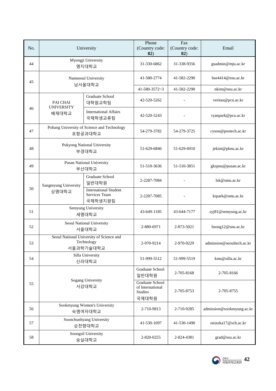| No. | University                                  |                                                                     | Phone<br>(Country code:<br>82)                                        | Fax<br>(Country code:<br>82) | Email                     |
|-----|---------------------------------------------|---------------------------------------------------------------------|-----------------------------------------------------------------------|------------------------------|---------------------------|
| 44  |                                             | Myongji University<br>명지대학교                                         | 31-330-6862                                                           | 31-338-9356                  | gsadmin@mju.ac.kr         |
| 45  |                                             | Namseoul University<br>남서울대학교                                       | 41-580-2774                                                           | 41-582-2290                  | bse4414@nsu.ac.kr         |
|     |                                             |                                                                     | $41 - 580 - 3572 - 3$                                                 | 41-582-2290                  | nkim@nsu.ac.kr            |
|     | <b>PAI CHAI</b><br><b>UNIVERSITY</b>        | <b>Graduate School</b><br>대학원교학팀                                    | 42-520-5262                                                           |                              | veritas@pcu.ac.kr         |
| 46  | 배재대학교                                       | <b>International Affairs</b><br>국제학생교류팀                             | 42-520-5243                                                           |                              | ryanpark@pcu.ac.kr        |
| 47  |                                             | Pohang University of Science and Technology<br>포항공과대학교              | 54-279-3782                                                           | 54-279-3725                  | cyson@postech.ac.kr       |
| 48  | <b>Pukyong National University</b><br>부경대학교 |                                                                     | 51-629-6846                                                           | 51-629-6910                  | jekim@pknu.ac.kr          |
| 49  | <b>Pusan National University</b><br>부산대학교   |                                                                     | 51-510-3636                                                           | 51-510-3851                  | gkspnu@pusan.ac.kr        |
|     | Sangmyung University                        | <b>Graduate School</b><br>일반대학원                                     | 2-2287-7084                                                           |                              | lsk@smu.ac.kr             |
| 50  | 상명대학교                                       | <b>International Student</b><br>Services Team<br>국제학생지원팀            | 2-2287-7085                                                           |                              | krpark@smu.ac.kr          |
| 51  | Semyung University<br>세명대학교                 |                                                                     | 43-649-1185                                                           | 43-644-7177                  | syj81@semyung.ac.kr       |
| 52  |                                             | Seoul National University<br>서울대학교                                  | 2-880-6971                                                            | 2-873-5021                   | hsong12@snu.ac.kr         |
| 53  |                                             | Seoul National University of Science and<br>Technology<br>서울과학기술대학교 | 2-970-9214                                                            | 2-970-9229                   | admission@seoultech.ac.kr |
| 54  |                                             | Silla University<br>신라대학교                                           | 51-999-5512                                                           | 51-999-5519                  | kms@silla.ac.kr           |
|     |                                             |                                                                     | Graduate School<br>일반대학원                                              | 2-705-8168                   | 2-705-8166                |
| 55  | <b>Sogang University</b><br>서강대학교           |                                                                     | <b>Graduate School</b><br>of International<br><b>Studies</b><br>국제대학원 | 2-705-8753                   | 2-705-8755                |
| 56  |                                             | Sookmyung Women's University<br>숙명여자대학교                             | 2-710-9813                                                            | 2-710-9285                   | admission@sookmyung.ac.kr |
| 57  |                                             | Soonchunhyang University<br>순천향대학교                                  | 41-530-1097                                                           | 41-530-1490                  | onizeka17@sch.ac.kr       |
| 58  |                                             | Soongsil University<br>숭실대학교                                        | 2-820-0255                                                            | 2-824-4381                   | grad@ssu.ac.kr            |